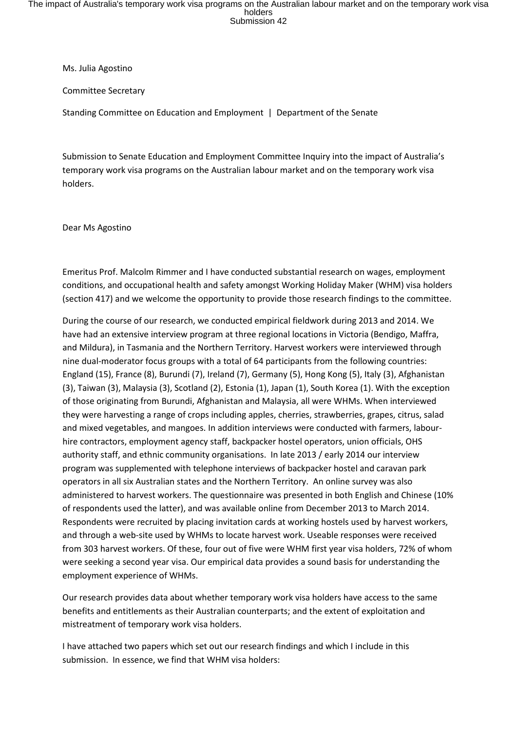Ms. Julia Agostino

Committee Secretary

Standing Committee on Education and Employment | Department of the Senate

Submission to Senate Education and Employment Committee Inquiry into the impact of Australia's temporary work visa programs on the Australian labour market and on the temporary work visa holders.

Dear Ms Agostino

Emeritus Prof. Malcolm Rimmer and I have conducted substantial research on wages, employment conditions, and occupational health and safety amongst Working Holiday Maker (WHM) visa holders (section 417) and we welcome the opportunity to provide those research findings to the committee.

During the course of our research, we conducted empirical fieldwork during 2013 and 2014. We have had an extensive interview program at three regional locations in Victoria (Bendigo, Maffra, and Mildura), in Tasmania and the Northern Territory. Harvest workers were interviewed through nine dual-moderator focus groups with a total of 64 participants from the following countries: England (15), France (8), Burundi (7), Ireland (7), Germany (5), Hong Kong (5), Italy (3), Afghanistan (3), Taiwan (3), Malaysia (3), Scotland (2), Estonia (1), Japan (1), South Korea (1). With the exception of those originating from Burundi, Afghanistan and Malaysia, all were WHMs. When interviewed they were harvesting a range of crops including apples, cherries, strawberries, grapes, citrus, salad and mixed vegetables, and mangoes. In addition interviews were conducted with farmers, labourhire contractors, employment agency staff, backpacker hostel operators, union officials, OHS authority staff, and ethnic community organisations. In late 2013 / early 2014 our interview program was supplemented with telephone interviews of backpacker hostel and caravan park operators in all six Australian states and the Northern Territory. An online survey was also administered to harvest workers. The questionnaire was presented in both English and Chinese (10% of respondents used the latter), and was available online from December 2013 to March 2014. Respondents were recruited by placing invitation cards at working hostels used by harvest workers, and through a web-site used by WHMs to locate harvest work. Useable responses were received from 303 harvest workers. Of these, four out of five were WHM first year visa holders, 72% of whom were seeking a second year visa. Our empirical data provides a sound basis for understanding the employment experience of WHMs.

Our research provides data about whether temporary work visa holders have access to the same benefits and entitlements as their Australian counterparts; and the extent of exploitation and mistreatment of temporary work visa holders.

I have attached two papers which set out our research findings and which I include in this submission. In essence, we find that WHM visa holders: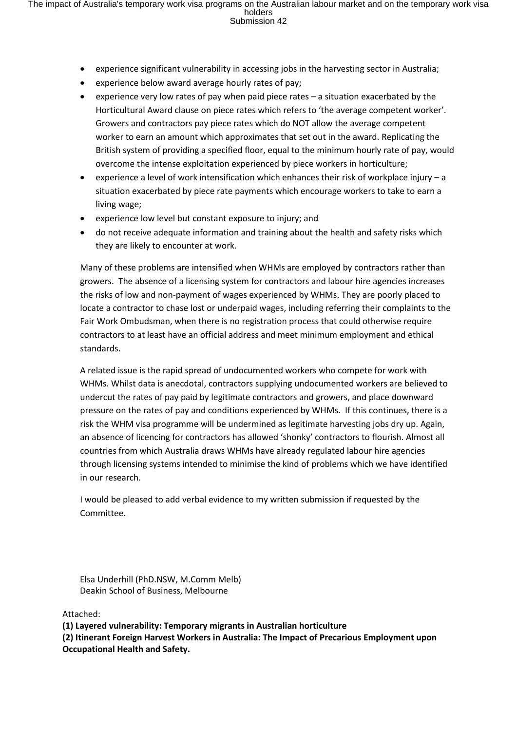- experience significant vulnerability in accessing jobs in the harvesting sector in Australia;
- experience below award average hourly rates of pay;
- experience very low rates of pay when paid piece rates a situation exacerbated by the Horticultural Award clause on piece rates which refers to 'the average competent worker'. Growers and contractors pay piece rates which do NOT allow the average competent worker to earn an amount which approximates that set out in the award. Replicating the British system of providing a specified floor, equal to the minimum hourly rate of pay, would overcome the intense exploitation experienced by piece workers in horticulture;
- experience a level of work intensification which enhances their risk of workplace injury a situation exacerbated by piece rate payments which encourage workers to take to earn a living wage;
- experience low level but constant exposure to injury; and
- do not receive adequate information and training about the health and safety risks which they are likely to encounter at work.

Many of these problems are intensified when WHMs are employed by contractors rather than growers. The absence of a licensing system for contractors and labour hire agencies increases the risks of low and non-payment of wages experienced by WHMs. They are poorly placed to locate a contractor to chase lost or underpaid wages, including referring their complaints to the Fair Work Ombudsman, when there is no registration process that could otherwise require contractors to at least have an official address and meet minimum employment and ethical standards.

A related issue is the rapid spread of undocumented workers who compete for work with WHMs. Whilst data is anecdotal, contractors supplying undocumented workers are believed to undercut the rates of pay paid by legitimate contractors and growers, and place downward pressure on the rates of pay and conditions experienced by WHMs. If this continues, there is a risk the WHM visa programme will be undermined as legitimate harvesting jobs dry up. Again, an absence of licencing for contractors has allowed 'shonky' contractors to flourish. Almost all countries from which Australia draws WHMs have already regulated labour hire agencies through licensing systems intended to minimise the kind of problems which we have identified in our research.

I would be pleased to add verbal evidence to my written submission if requested by the Committee.

Elsa Underhill (PhD.NSW, M.Comm Melb) Deakin School of Business, Melbourne

Attached:

**(1) Layered vulnerability: Temporary migrants in Australian horticulture** 

**(2) Itinerant Foreign Harvest Workers in Australia: The Impact of Precarious Employment upon Occupational Health and Safety.**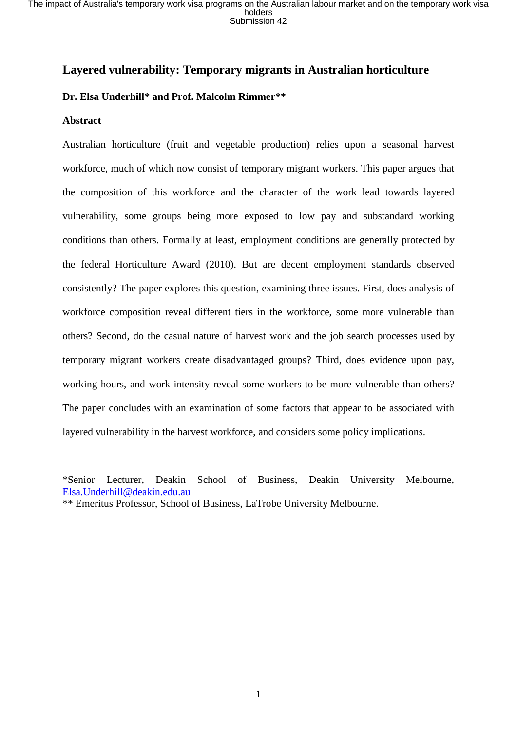### **Layered vulnerability: Temporary migrants in Australian horticulture**

#### **Dr. Elsa Underhill\* and Prof. Malcolm Rimmer\*\***

#### **Abstract**

Australian horticulture (fruit and vegetable production) relies upon a seasonal harvest workforce, much of which now consist of temporary migrant workers. This paper argues that the composition of this workforce and the character of the work lead towards layered vulnerability, some groups being more exposed to low pay and substandard working conditions than others. Formally at least, employment conditions are generally protected by the federal Horticulture Award (2010). But are decent employment standards observed consistently? The paper explores this question, examining three issues. First, does analysis of workforce composition reveal different tiers in the workforce, some more vulnerable than others? Second, do the casual nature of harvest work and the job search processes used by temporary migrant workers create disadvantaged groups? Third, does evidence upon pay, working hours, and work intensity reveal some workers to be more vulnerable than others? The paper concludes with an examination of some factors that appear to be associated with layered vulnerability in the harvest workforce, and considers some policy implications.

\*Senior Lecturer, Deakin School of Business, Deakin University Melbourne, [Elsa.Underhill@deakin.edu.au](mailto:Elsa.Underhill@deakin.edu.au)

<sup>\*\*</sup> Emeritus Professor, School of Business, LaTrobe University Melbourne.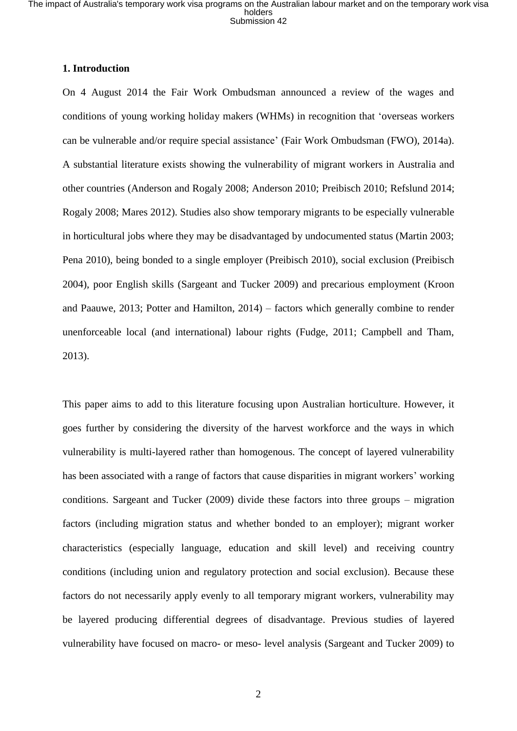#### **1. Introduction**

On 4 August 2014 the Fair Work Ombudsman announced a review of the wages and conditions of young working holiday makers (WHMs) in recognition that 'overseas workers can be vulnerable and/or require special assistance' (Fair Work Ombudsman (FWO), 2014a). A substantial literature exists showing the vulnerability of migrant workers in Australia and other countries (Anderson and Rogaly 2008; Anderson 2010; Preibisch 2010; Refslund 2014; Rogaly 2008; Mares 2012). Studies also show temporary migrants to be especially vulnerable in horticultural jobs where they may be disadvantaged by undocumented status (Martin 2003; Pena 2010), being bonded to a single employer (Preibisch 2010), social exclusion (Preibisch 2004), poor English skills (Sargeant and Tucker 2009) and precarious employment (Kroon and Paauwe, 2013; Potter and Hamilton, 2014) – factors which generally combine to render unenforceable local (and international) labour rights (Fudge, 2011; Campbell and Tham, 2013).

This paper aims to add to this literature focusing upon Australian horticulture. However, it goes further by considering the diversity of the harvest workforce and the ways in which vulnerability is multi-layered rather than homogenous. The concept of layered vulnerability has been associated with a range of factors that cause disparities in migrant workers' working conditions. Sargeant and Tucker (2009) divide these factors into three groups – migration factors (including migration status and whether bonded to an employer); migrant worker characteristics (especially language, education and skill level) and receiving country conditions (including union and regulatory protection and social exclusion). Because these factors do not necessarily apply evenly to all temporary migrant workers, vulnerability may be layered producing differential degrees of disadvantage. Previous studies of layered vulnerability have focused on macro- or meso- level analysis (Sargeant and Tucker 2009) to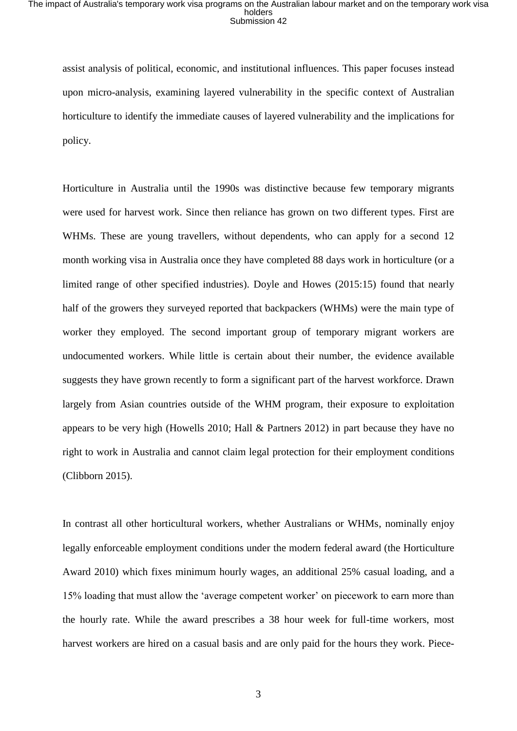assist analysis of political, economic, and institutional influences. This paper focuses instead upon micro-analysis, examining layered vulnerability in the specific context of Australian horticulture to identify the immediate causes of layered vulnerability and the implications for policy.

Horticulture in Australia until the 1990s was distinctive because few temporary migrants were used for harvest work. Since then reliance has grown on two different types. First are WHMs. These are young travellers, without dependents, who can apply for a second 12 month working visa in Australia once they have completed 88 days work in horticulture (or a limited range of other specified industries). Doyle and Howes (2015:15) found that nearly half of the growers they surveyed reported that backpackers (WHMs) were the main type of worker they employed. The second important group of temporary migrant workers are undocumented workers. While little is certain about their number, the evidence available suggests they have grown recently to form a significant part of the harvest workforce. Drawn largely from Asian countries outside of the WHM program, their exposure to exploitation appears to be very high (Howells 2010; Hall & Partners 2012) in part because they have no right to work in Australia and cannot claim legal protection for their employment conditions (Clibborn 2015).

In contrast all other horticultural workers, whether Australians or WHMs, nominally enjoy legally enforceable employment conditions under the modern federal award (the Horticulture Award 2010) which fixes minimum hourly wages, an additional 25% casual loading, and a 15% loading that must allow the 'average competent worker' on piecework to earn more than the hourly rate. While the award prescribes a 38 hour week for full-time workers, most harvest workers are hired on a casual basis and are only paid for the hours they work. Piece-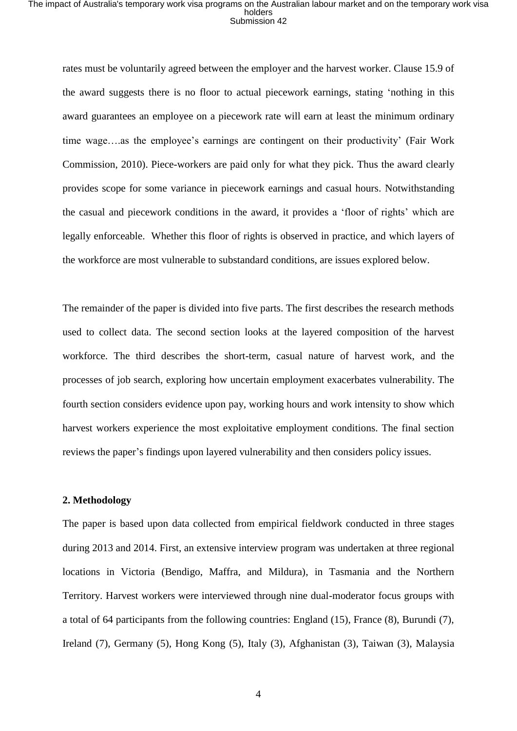rates must be voluntarily agreed between the employer and the harvest worker. Clause 15.9 of the award suggests there is no floor to actual piecework earnings, stating 'nothing in this award guarantees an employee on a piecework rate will earn at least the minimum ordinary time wage….as the employee's earnings are contingent on their productivity' (Fair Work Commission, 2010). Piece-workers are paid only for what they pick. Thus the award clearly provides scope for some variance in piecework earnings and casual hours. Notwithstanding the casual and piecework conditions in the award, it provides a 'floor of rights' which are legally enforceable. Whether this floor of rights is observed in practice, and which layers of the workforce are most vulnerable to substandard conditions, are issues explored below.

The remainder of the paper is divided into five parts. The first describes the research methods used to collect data. The second section looks at the layered composition of the harvest workforce. The third describes the short-term, casual nature of harvest work, and the processes of job search, exploring how uncertain employment exacerbates vulnerability. The fourth section considers evidence upon pay, working hours and work intensity to show which harvest workers experience the most exploitative employment conditions. The final section reviews the paper's findings upon layered vulnerability and then considers policy issues.

#### **2. Methodology**

The paper is based upon data collected from empirical fieldwork conducted in three stages during 2013 and 2014. First, an extensive interview program was undertaken at three regional locations in Victoria (Bendigo, Maffra, and Mildura), in Tasmania and the Northern Territory. Harvest workers were interviewed through nine dual-moderator focus groups with a total of 64 participants from the following countries: England (15), France (8), Burundi (7), Ireland (7), Germany (5), Hong Kong (5), Italy (3), Afghanistan (3), Taiwan (3), Malaysia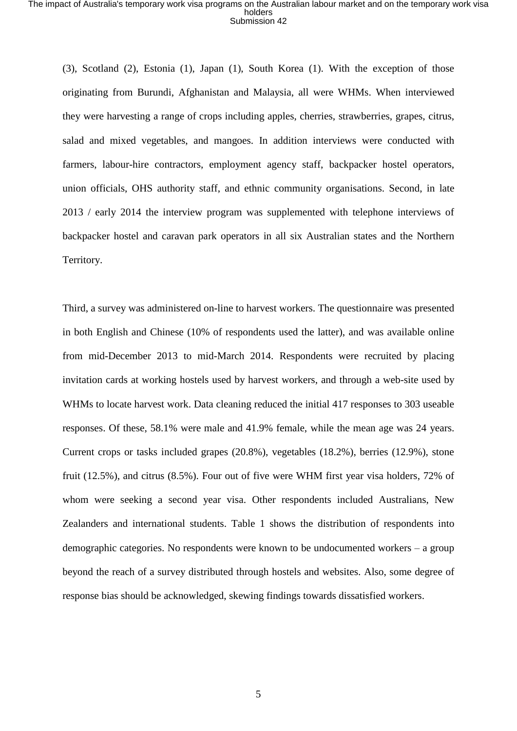(3), Scotland (2), Estonia (1), Japan (1), South Korea (1). With the exception of those originating from Burundi, Afghanistan and Malaysia, all were WHMs. When interviewed they were harvesting a range of crops including apples, cherries, strawberries, grapes, citrus, salad and mixed vegetables, and mangoes. In addition interviews were conducted with farmers, labour-hire contractors, employment agency staff, backpacker hostel operators, union officials, OHS authority staff, and ethnic community organisations. Second, in late 2013 / early 2014 the interview program was supplemented with telephone interviews of backpacker hostel and caravan park operators in all six Australian states and the Northern Territory.

Third, a survey was administered on-line to harvest workers. The questionnaire was presented in both English and Chinese (10% of respondents used the latter), and was available online from mid-December 2013 to mid-March 2014. Respondents were recruited by placing invitation cards at working hostels used by harvest workers, and through a web-site used by WHMs to locate harvest work. Data cleaning reduced the initial 417 responses to 303 useable responses. Of these, 58.1% were male and 41.9% female, while the mean age was 24 years. Current crops or tasks included grapes (20.8%), vegetables (18.2%), berries (12.9%), stone fruit (12.5%), and citrus (8.5%). Four out of five were WHM first year visa holders, 72% of whom were seeking a second year visa. Other respondents included Australians, New Zealanders and international students. Table 1 shows the distribution of respondents into demographic categories. No respondents were known to be undocumented workers – a group beyond the reach of a survey distributed through hostels and websites. Also, some degree of response bias should be acknowledged, skewing findings towards dissatisfied workers.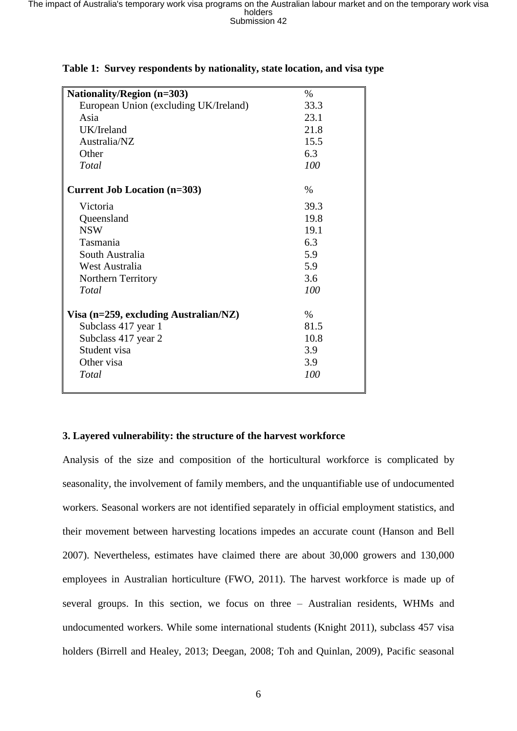| Nationality/Region (n=303)            | $\%$ |
|---------------------------------------|------|
| European Union (excluding UK/Ireland) | 33.3 |
| Asia                                  | 23.1 |
| UK/Ireland                            | 21.8 |
| Australia/NZ                          | 15.5 |
| Other                                 | 6.3  |
| Total                                 | 100  |
| <b>Current Job Location (n=303)</b>   | $\%$ |
| Victoria                              | 39.3 |
| Queensland                            | 19.8 |
| <b>NSW</b>                            | 19.1 |
| Tasmania                              | 6.3  |
| South Australia                       | 5.9  |
| West Australia                        | 5.9  |
| Northern Territory                    | 3.6  |
| Total                                 | 100  |
| Visa (n=259, excluding Australian/NZ) | $\%$ |
| Subclass 417 year 1                   | 81.5 |
| Subclass 417 year 2                   | 10.8 |
| Student visa                          | 3.9  |
| Other visa                            | 3.9  |
| Total                                 | 100  |
|                                       |      |

#### **Table 1: Survey respondents by nationality, state location, and visa type**

### **3. Layered vulnerability: the structure of the harvest workforce**

Analysis of the size and composition of the horticultural workforce is complicated by seasonality, the involvement of family members, and the unquantifiable use of undocumented workers. Seasonal workers are not identified separately in official employment statistics, and their movement between harvesting locations impedes an accurate count (Hanson and Bell 2007). Nevertheless, estimates have claimed there are about 30,000 growers and 130,000 employees in Australian horticulture (FWO, 2011). The harvest workforce is made up of several groups. In this section, we focus on three – Australian residents, WHMs and undocumented workers. While some international students (Knight 2011), subclass 457 visa holders (Birrell and Healey, 2013; Deegan, 2008; Toh and Quinlan, 2009), Pacific seasonal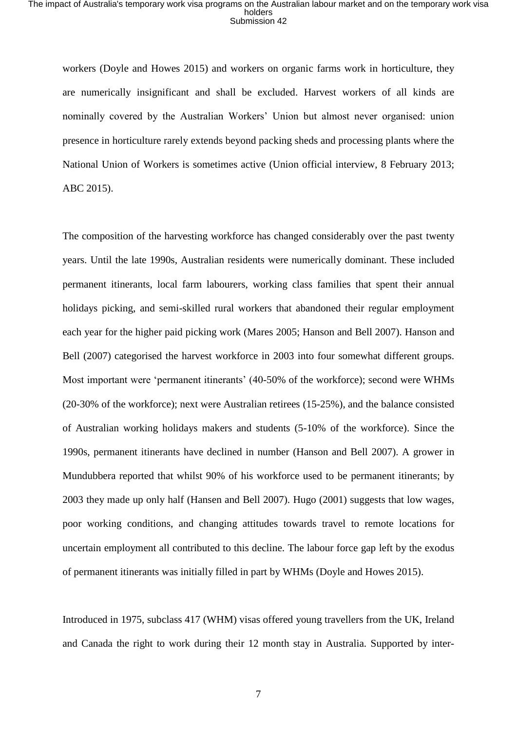workers (Doyle and Howes 2015) and workers on organic farms work in horticulture, they are numerically insignificant and shall be excluded. Harvest workers of all kinds are nominally covered by the Australian Workers' Union but almost never organised: union presence in horticulture rarely extends beyond packing sheds and processing plants where the National Union of Workers is sometimes active (Union official interview, 8 February 2013; ABC 2015).

The composition of the harvesting workforce has changed considerably over the past twenty years. Until the late 1990s, Australian residents were numerically dominant. These included permanent itinerants, local farm labourers, working class families that spent their annual holidays picking, and semi-skilled rural workers that abandoned their regular employment each year for the higher paid picking work (Mares 2005; Hanson and Bell 2007). Hanson and Bell (2007) categorised the harvest workforce in 2003 into four somewhat different groups. Most important were 'permanent itinerants' (40-50% of the workforce); second were WHMs (20-30% of the workforce); next were Australian retirees (15-25%), and the balance consisted of Australian working holidays makers and students (5-10% of the workforce). Since the 1990s, permanent itinerants have declined in number (Hanson and Bell 2007). A grower in Mundubbera reported that whilst 90% of his workforce used to be permanent itinerants; by 2003 they made up only half (Hansen and Bell 2007). Hugo (2001) suggests that low wages, poor working conditions, and changing attitudes towards travel to remote locations for uncertain employment all contributed to this decline. The labour force gap left by the exodus of permanent itinerants was initially filled in part by WHMs (Doyle and Howes 2015).

Introduced in 1975, subclass 417 (WHM) visas offered young travellers from the UK, Ireland and Canada the right to work during their 12 month stay in Australia. Supported by inter-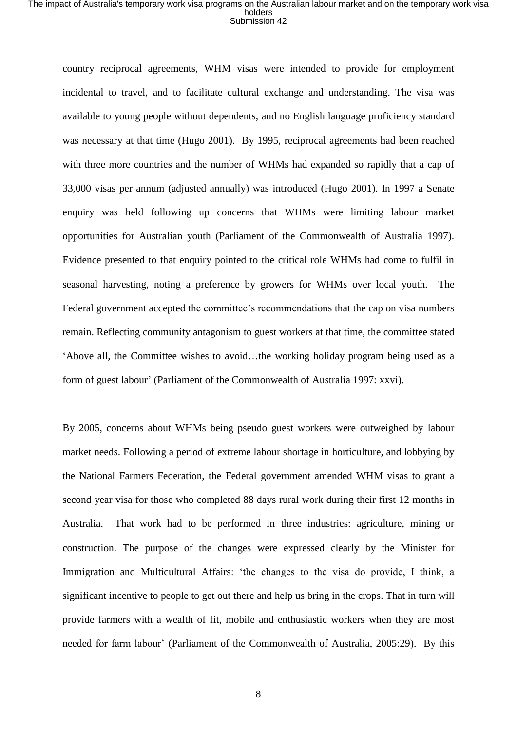country reciprocal agreements, WHM visas were intended to provide for employment incidental to travel, and to facilitate cultural exchange and understanding. The visa was available to young people without dependents, and no English language proficiency standard was necessary at that time (Hugo 2001). By 1995, reciprocal agreements had been reached with three more countries and the number of WHMs had expanded so rapidly that a cap of 33,000 visas per annum (adjusted annually) was introduced (Hugo 2001). In 1997 a Senate enquiry was held following up concerns that WHMs were limiting labour market opportunities for Australian youth (Parliament of the Commonwealth of Australia 1997). Evidence presented to that enquiry pointed to the critical role WHMs had come to fulfil in seasonal harvesting, noting a preference by growers for WHMs over local youth. The Federal government accepted the committee's recommendations that the cap on visa numbers remain. Reflecting community antagonism to guest workers at that time, the committee stated 'Above all, the Committee wishes to avoid…the working holiday program being used as a form of guest labour' (Parliament of the Commonwealth of Australia 1997: xxvi).

By 2005, concerns about WHMs being pseudo guest workers were outweighed by labour market needs. Following a period of extreme labour shortage in horticulture, and lobbying by the National Farmers Federation, the Federal government amended WHM visas to grant a second year visa for those who completed 88 days rural work during their first 12 months in Australia. That work had to be performed in three industries: agriculture, mining or construction. The purpose of the changes were expressed clearly by the Minister for Immigration and Multicultural Affairs: 'the changes to the visa do provide, I think, a significant incentive to people to get out there and help us bring in the crops. That in turn will provide farmers with a wealth of fit, mobile and enthusiastic workers when they are most needed for farm labour' (Parliament of the Commonwealth of Australia, 2005:29). By this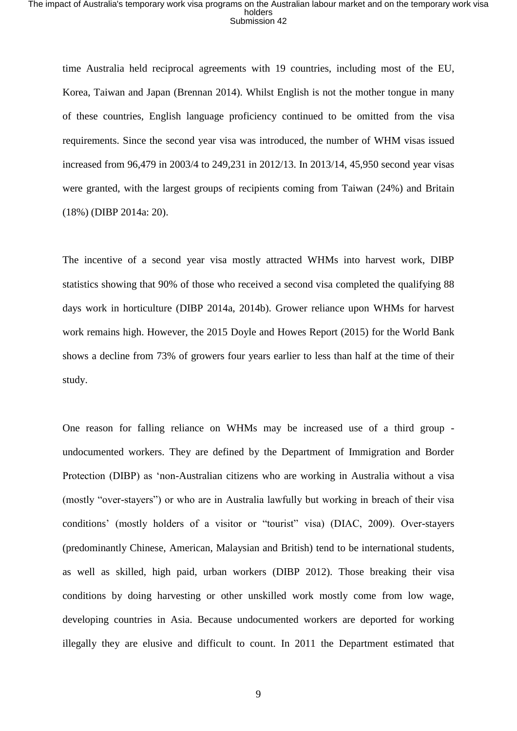time Australia held reciprocal agreements with 19 countries, including most of the EU, Korea, Taiwan and Japan (Brennan 2014). Whilst English is not the mother tongue in many of these countries, English language proficiency continued to be omitted from the visa requirements. Since the second year visa was introduced, the number of WHM visas issued increased from 96,479 in 2003/4 to 249,231 in 2012/13. In 2013/14, 45,950 second year visas were granted, with the largest groups of recipients coming from Taiwan (24%) and Britain (18%) (DIBP 2014a: 20).

The incentive of a second year visa mostly attracted WHMs into harvest work, DIBP statistics showing that 90% of those who received a second visa completed the qualifying 88 days work in horticulture (DIBP 2014a, 2014b). Grower reliance upon WHMs for harvest work remains high. However, the 2015 Doyle and Howes Report (2015) for the World Bank shows a decline from 73% of growers four years earlier to less than half at the time of their study.

One reason for falling reliance on WHMs may be increased use of a third group undocumented workers. They are defined by the Department of Immigration and Border Protection (DIBP) as 'non-Australian citizens who are working in Australia without a visa (mostly "over-stayers") or who are in Australia lawfully but working in breach of their visa conditions' (mostly holders of a visitor or "tourist" visa) (DIAC, 2009). Over-stayers (predominantly Chinese, American, Malaysian and British) tend to be international students, as well as skilled, high paid, urban workers (DIBP 2012). Those breaking their visa conditions by doing harvesting or other unskilled work mostly come from low wage, developing countries in Asia. Because undocumented workers are deported for working illegally they are elusive and difficult to count. In 2011 the Department estimated that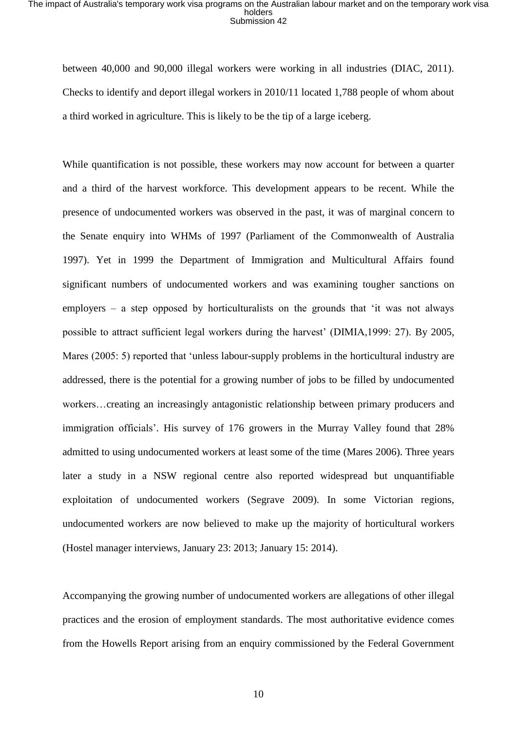between 40,000 and 90,000 illegal workers were working in all industries (DIAC, 2011). Checks to identify and deport illegal workers in 2010/11 located 1,788 people of whom about a third worked in agriculture. This is likely to be the tip of a large iceberg.

While quantification is not possible, these workers may now account for between a quarter and a third of the harvest workforce. This development appears to be recent. While the presence of undocumented workers was observed in the past, it was of marginal concern to the Senate enquiry into WHMs of 1997 (Parliament of the Commonwealth of Australia 1997). Yet in 1999 the Department of Immigration and Multicultural Affairs found significant numbers of undocumented workers and was examining tougher sanctions on employers – a step opposed by horticulturalists on the grounds that 'it was not always possible to attract sufficient legal workers during the harvest' (DIMIA,1999: 27). By 2005, Mares (2005: 5) reported that 'unless labour-supply problems in the horticultural industry are addressed, there is the potential for a growing number of jobs to be filled by undocumented workers…creating an increasingly antagonistic relationship between primary producers and immigration officials'. His survey of 176 growers in the Murray Valley found that 28% admitted to using undocumented workers at least some of the time (Mares 2006). Three years later a study in a NSW regional centre also reported widespread but unquantifiable exploitation of undocumented workers (Segrave 2009). In some Victorian regions, undocumented workers are now believed to make up the majority of horticultural workers (Hostel manager interviews, January 23: 2013; January 15: 2014).

Accompanying the growing number of undocumented workers are allegations of other illegal practices and the erosion of employment standards. The most authoritative evidence comes from the Howells Report arising from an enquiry commissioned by the Federal Government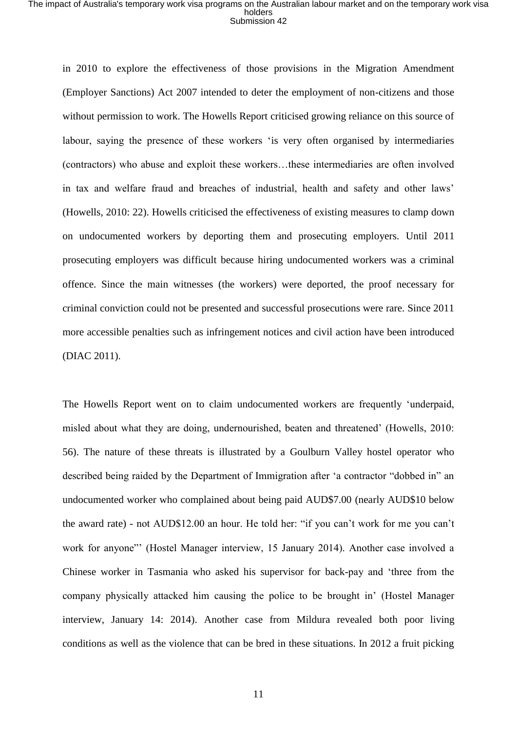in 2010 to explore the effectiveness of those provisions in the Migration Amendment (Employer Sanctions) Act 2007 intended to deter the employment of non-citizens and those without permission to work. The Howells Report criticised growing reliance on this source of labour, saying the presence of these workers 'is very often organised by intermediaries (contractors) who abuse and exploit these workers…these intermediaries are often involved in tax and welfare fraud and breaches of industrial, health and safety and other laws' (Howells, 2010: 22). Howells criticised the effectiveness of existing measures to clamp down on undocumented workers by deporting them and prosecuting employers. Until 2011 prosecuting employers was difficult because hiring undocumented workers was a criminal offence. Since the main witnesses (the workers) were deported, the proof necessary for criminal conviction could not be presented and successful prosecutions were rare. Since 2011 more accessible penalties such as infringement notices and civil action have been introduced (DIAC 2011).

The Howells Report went on to claim undocumented workers are frequently 'underpaid, misled about what they are doing, undernourished, beaten and threatened' (Howells, 2010: 56). The nature of these threats is illustrated by a Goulburn Valley hostel operator who described being raided by the Department of Immigration after 'a contractor "dobbed in" an undocumented worker who complained about being paid AUD\$7.00 (nearly AUD\$10 below the award rate) - not AUD\$12.00 an hour. He told her: "if you can't work for me you can't work for anyone"' (Hostel Manager interview, 15 January 2014). Another case involved a Chinese worker in Tasmania who asked his supervisor for back-pay and 'three from the company physically attacked him causing the police to be brought in' (Hostel Manager interview, January 14: 2014). Another case from Mildura revealed both poor living conditions as well as the violence that can be bred in these situations. In 2012 a fruit picking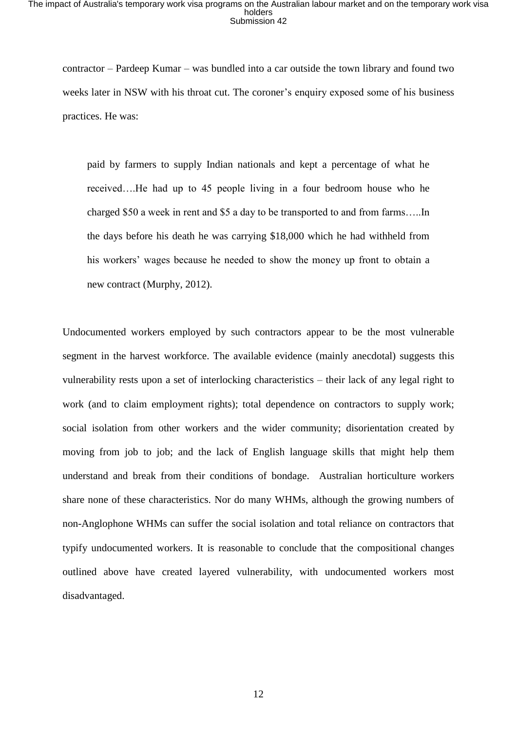contractor – Pardeep Kumar – was bundled into a car outside the town library and found two weeks later in NSW with his throat cut. The coroner's enquiry exposed some of his business practices. He was:

paid by farmers to supply Indian nationals and kept a percentage of what he received….He had up to 45 people living in a four bedroom house who he charged \$50 a week in rent and \$5 a day to be transported to and from farms…..In the days before his death he was carrying \$18,000 which he had withheld from his workers' wages because he needed to show the money up front to obtain a new contract (Murphy, 2012).

Undocumented workers employed by such contractors appear to be the most vulnerable segment in the harvest workforce. The available evidence (mainly anecdotal) suggests this vulnerability rests upon a set of interlocking characteristics – their lack of any legal right to work (and to claim employment rights); total dependence on contractors to supply work; social isolation from other workers and the wider community; disorientation created by moving from job to job; and the lack of English language skills that might help them understand and break from their conditions of bondage. Australian horticulture workers share none of these characteristics. Nor do many WHMs, although the growing numbers of non-Anglophone WHMs can suffer the social isolation and total reliance on contractors that typify undocumented workers. It is reasonable to conclude that the compositional changes outlined above have created layered vulnerability, with undocumented workers most disadvantaged.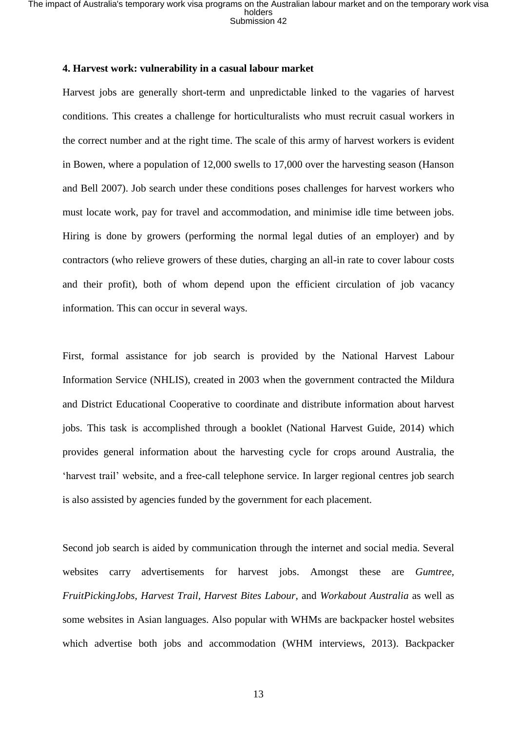#### **4. Harvest work: vulnerability in a casual labour market**

Harvest jobs are generally short-term and unpredictable linked to the vagaries of harvest conditions. This creates a challenge for horticulturalists who must recruit casual workers in the correct number and at the right time. The scale of this army of harvest workers is evident in Bowen, where a population of 12,000 swells to 17,000 over the harvesting season (Hanson and Bell 2007). Job search under these conditions poses challenges for harvest workers who must locate work, pay for travel and accommodation, and minimise idle time between jobs. Hiring is done by growers (performing the normal legal duties of an employer) and by contractors (who relieve growers of these duties, charging an all-in rate to cover labour costs and their profit), both of whom depend upon the efficient circulation of job vacancy information. This can occur in several ways.

First, formal assistance for job search is provided by the National Harvest Labour Information Service (NHLIS), created in 2003 when the government contracted the Mildura and District Educational Cooperative to coordinate and distribute information about harvest jobs. This task is accomplished through a booklet (National Harvest Guide, 2014) which provides general information about the harvesting cycle for crops around Australia, the 'harvest trail' website, and a free-call telephone service. In larger regional centres job search is also assisted by agencies funded by the government for each placement.

Second job search is aided by communication through the internet and social media. Several websites carry advertisements for harvest jobs. Amongst these are *Gumtree, FruitPickingJobs, Harvest Trail, Harvest Bites Labour,* and *Workabout Australia* as well as some websites in Asian languages. Also popular with WHMs are backpacker hostel websites which advertise both jobs and accommodation (WHM interviews, 2013). Backpacker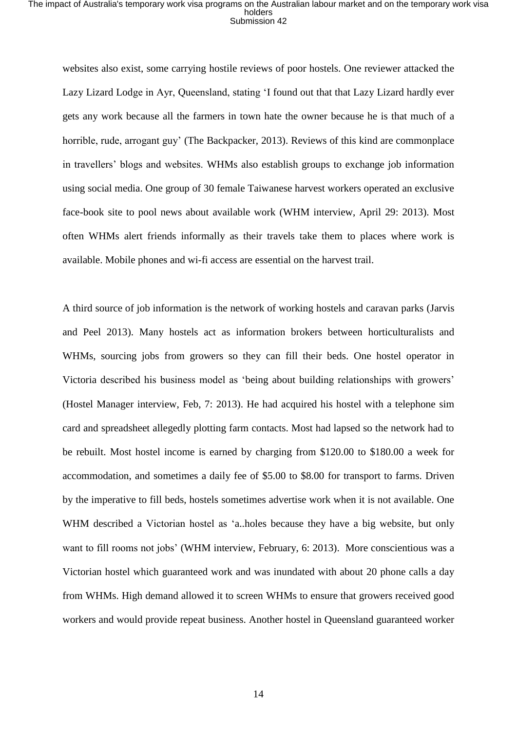websites also exist, some carrying hostile reviews of poor hostels. One reviewer attacked the Lazy Lizard Lodge in Ayr, Queensland, stating 'I found out that that Lazy Lizard hardly ever gets any work because all the farmers in town hate the owner because he is that much of a horrible, rude, arrogant guy' (The Backpacker, 2013). Reviews of this kind are commonplace in travellers' blogs and websites. WHMs also establish groups to exchange job information using social media. One group of 30 female Taiwanese harvest workers operated an exclusive face-book site to pool news about available work (WHM interview, April 29: 2013). Most often WHMs alert friends informally as their travels take them to places where work is available. Mobile phones and wi-fi access are essential on the harvest trail.

A third source of job information is the network of working hostels and caravan parks (Jarvis and Peel 2013). Many hostels act as information brokers between horticulturalists and WHMs, sourcing jobs from growers so they can fill their beds. One hostel operator in Victoria described his business model as 'being about building relationships with growers' (Hostel Manager interview, Feb, 7: 2013). He had acquired his hostel with a telephone sim card and spreadsheet allegedly plotting farm contacts. Most had lapsed so the network had to be rebuilt. Most hostel income is earned by charging from \$120.00 to \$180.00 a week for accommodation, and sometimes a daily fee of \$5.00 to \$8.00 for transport to farms. Driven by the imperative to fill beds, hostels sometimes advertise work when it is not available. One WHM described a Victorian hostel as 'a..holes because they have a big website, but only want to fill rooms not jobs' (WHM interview, February, 6: 2013). More conscientious was a Victorian hostel which guaranteed work and was inundated with about 20 phone calls a day from WHMs. High demand allowed it to screen WHMs to ensure that growers received good workers and would provide repeat business. Another hostel in Queensland guaranteed worker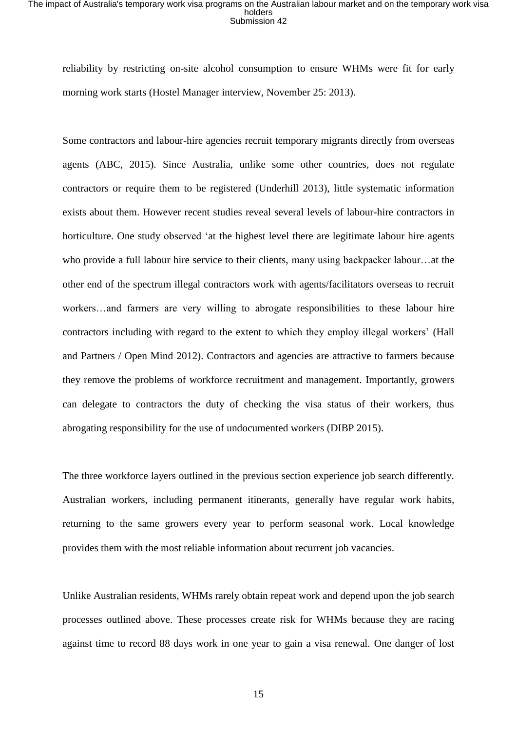reliability by restricting on-site alcohol consumption to ensure WHMs were fit for early morning work starts (Hostel Manager interview, November 25: 2013).

Some contractors and labour-hire agencies recruit temporary migrants directly from overseas agents (ABC, 2015). Since Australia, unlike some other countries, does not regulate contractors or require them to be registered (Underhill 2013), little systematic information exists about them. However recent studies reveal several levels of labour-hire contractors in horticulture. One study observed 'at the highest level there are legitimate labour hire agents who provide a full labour hire service to their clients, many using backpacker labour…at the other end of the spectrum illegal contractors work with agents/facilitators overseas to recruit workers…and farmers are very willing to abrogate responsibilities to these labour hire contractors including with regard to the extent to which they employ illegal workers' (Hall and Partners / Open Mind 2012). Contractors and agencies are attractive to farmers because they remove the problems of workforce recruitment and management. Importantly, growers can delegate to contractors the duty of checking the visa status of their workers, thus abrogating responsibility for the use of undocumented workers (DIBP 2015).

The three workforce layers outlined in the previous section experience job search differently. Australian workers, including permanent itinerants, generally have regular work habits, returning to the same growers every year to perform seasonal work. Local knowledge provides them with the most reliable information about recurrent job vacancies.

Unlike Australian residents, WHMs rarely obtain repeat work and depend upon the job search processes outlined above. These processes create risk for WHMs because they are racing against time to record 88 days work in one year to gain a visa renewal. One danger of lost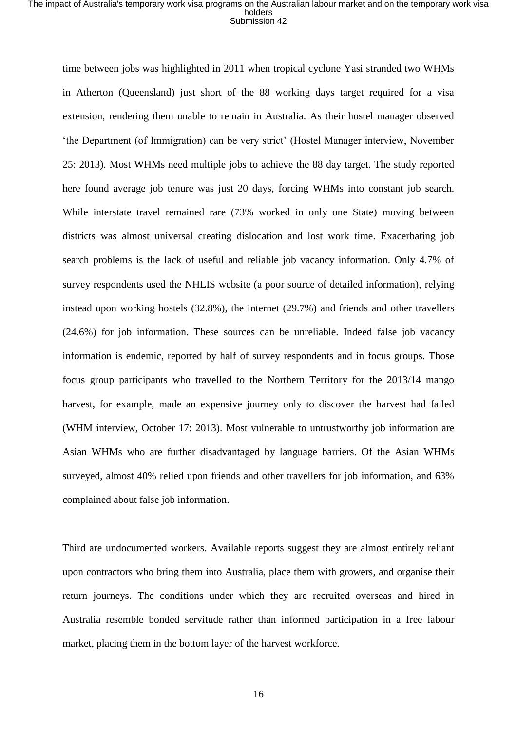time between jobs was highlighted in 2011 when tropical cyclone Yasi stranded two WHMs in Atherton (Queensland) just short of the 88 working days target required for a visa extension, rendering them unable to remain in Australia. As their hostel manager observed 'the Department (of Immigration) can be very strict' (Hostel Manager interview, November 25: 2013). Most WHMs need multiple jobs to achieve the 88 day target. The study reported here found average job tenure was just 20 days, forcing WHMs into constant job search. While interstate travel remained rare (73% worked in only one State) moving between districts was almost universal creating dislocation and lost work time. Exacerbating job search problems is the lack of useful and reliable job vacancy information. Only 4.7% of survey respondents used the NHLIS website (a poor source of detailed information), relying instead upon working hostels (32.8%), the internet (29.7%) and friends and other travellers (24.6%) for job information. These sources can be unreliable. Indeed false job vacancy information is endemic, reported by half of survey respondents and in focus groups. Those focus group participants who travelled to the Northern Territory for the 2013/14 mango harvest, for example, made an expensive journey only to discover the harvest had failed (WHM interview, October 17: 2013). Most vulnerable to untrustworthy job information are Asian WHMs who are further disadvantaged by language barriers. Of the Asian WHMs surveyed, almost 40% relied upon friends and other travellers for job information, and 63% complained about false job information.

Third are undocumented workers. Available reports suggest they are almost entirely reliant upon contractors who bring them into Australia, place them with growers, and organise their return journeys. The conditions under which they are recruited overseas and hired in Australia resemble bonded servitude rather than informed participation in a free labour market, placing them in the bottom layer of the harvest workforce.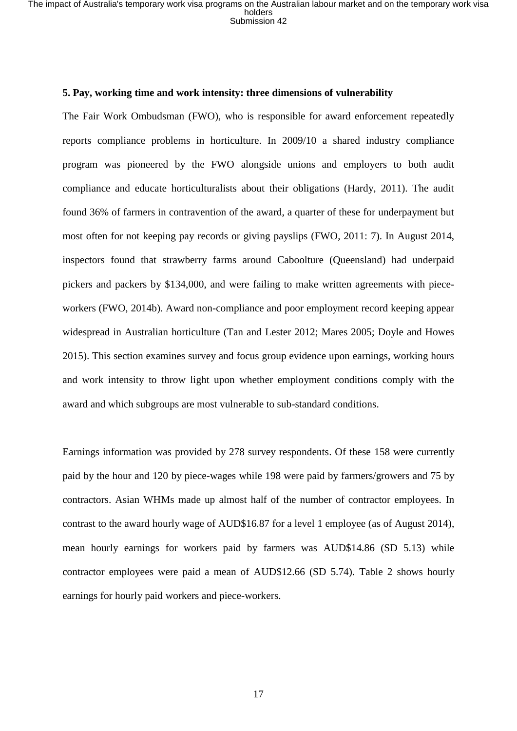#### **5. Pay, working time and work intensity: three dimensions of vulnerability**

The Fair Work Ombudsman (FWO), who is responsible for award enforcement repeatedly reports compliance problems in horticulture. In 2009/10 a shared industry compliance program was pioneered by the FWO alongside unions and employers to both audit compliance and educate horticulturalists about their obligations (Hardy, 2011). The audit found 36% of farmers in contravention of the award, a quarter of these for underpayment but most often for not keeping pay records or giving payslips (FWO, 2011: 7). In August 2014, inspectors found that strawberry farms around Caboolture (Queensland) had underpaid pickers and packers by \$134,000, and were failing to make written agreements with pieceworkers (FWO, 2014b). Award non-compliance and poor employment record keeping appear widespread in Australian horticulture (Tan and Lester 2012; Mares 2005; Doyle and Howes 2015). This section examines survey and focus group evidence upon earnings, working hours and work intensity to throw light upon whether employment conditions comply with the award and which subgroups are most vulnerable to sub-standard conditions.

Earnings information was provided by 278 survey respondents. Of these 158 were currently paid by the hour and 120 by piece-wages while 198 were paid by farmers/growers and 75 by contractors. Asian WHMs made up almost half of the number of contractor employees. In contrast to the award hourly wage of AUD\$16.87 for a level 1 employee (as of August 2014), mean hourly earnings for workers paid by farmers was AUD\$14.86 (SD 5.13) while contractor employees were paid a mean of AUD\$12.66 (SD 5.74). Table 2 shows hourly earnings for hourly paid workers and piece-workers.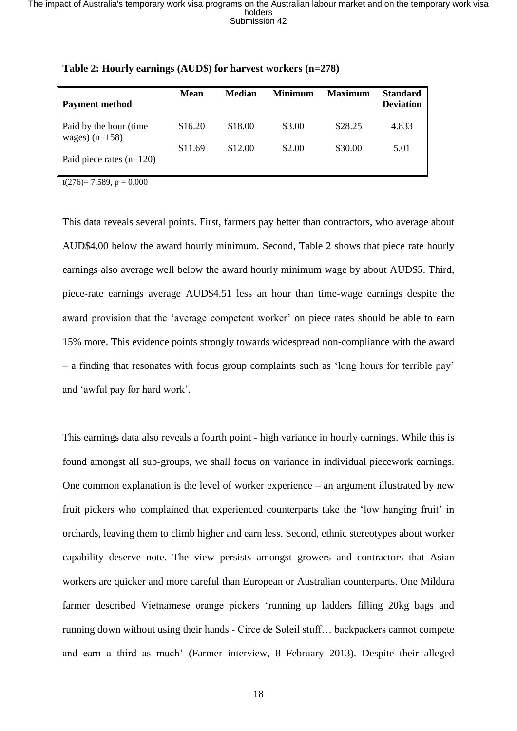| <b>Payment method</b>                      | <b>Mean</b> | <b>Median</b> | <b>Minimum</b> | <b>Maximum</b> | <b>Standard</b><br><b>Deviation</b> |
|--------------------------------------------|-------------|---------------|----------------|----------------|-------------------------------------|
| Paid by the hour (time<br>wages) $(n=158)$ | \$16.20     | \$18.00       | \$3.00         | \$28.25        | 4.833                               |
| Paid piece rates $(n=120)$                 | \$11.69     | \$12.00       | \$2.00         | \$30.00        | 5.01                                |
|                                            |             |               |                |                |                                     |

#### **Table 2: Hourly earnings (AUD\$) for harvest workers (n=278)**

 $t(276)= 7.589, p = 0.000$ 

This data reveals several points. First, farmers pay better than contractors, who average about AUD\$4.00 below the award hourly minimum. Second, Table 2 shows that piece rate hourly earnings also average well below the award hourly minimum wage by about AUD\$5. Third, piece-rate earnings average AUD\$4.51 less an hour than time-wage earnings despite the award provision that the 'average competent worker' on piece rates should be able to earn 15% more. This evidence points strongly towards widespread non-compliance with the award – a finding that resonates with focus group complaints such as 'long hours for terrible pay' and 'awful pay for hard work'.

This earnings data also reveals a fourth point - high variance in hourly earnings. While this is found amongst all sub-groups, we shall focus on variance in individual piecework earnings. One common explanation is the level of worker experience – an argument illustrated by new fruit pickers who complained that experienced counterparts take the 'low hanging fruit' in orchards, leaving them to climb higher and earn less. Second, ethnic stereotypes about worker capability deserve note. The view persists amongst growers and contractors that Asian workers are quicker and more careful than European or Australian counterparts. One Mildura farmer described Vietnamese orange pickers 'running up ladders filling 20kg bags and running down without using their hands - Circe de Soleil stuff… backpackers cannot compete and earn a third as much' (Farmer interview, 8 February 2013). Despite their alleged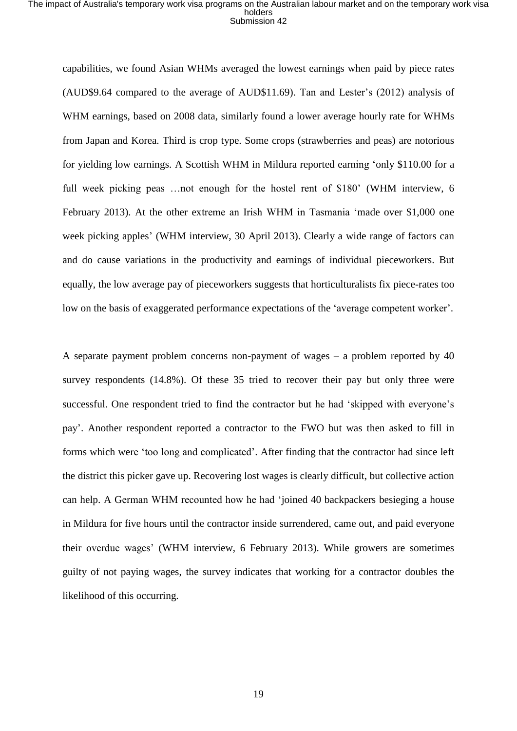capabilities, we found Asian WHMs averaged the lowest earnings when paid by piece rates (AUD\$9.64 compared to the average of AUD\$11.69). Tan and Lester's (2012) analysis of WHM earnings, based on 2008 data, similarly found a lower average hourly rate for WHMs from Japan and Korea. Third is crop type. Some crops (strawberries and peas) are notorious for yielding low earnings. A Scottish WHM in Mildura reported earning 'only \$110.00 for a full week picking peas ... not enough for the hostel rent of \$180° (WHM interview, 6 February 2013). At the other extreme an Irish WHM in Tasmania 'made over \$1,000 one week picking apples' (WHM interview, 30 April 2013). Clearly a wide range of factors can and do cause variations in the productivity and earnings of individual pieceworkers. But equally, the low average pay of pieceworkers suggests that horticulturalists fix piece-rates too low on the basis of exaggerated performance expectations of the 'average competent worker'.

A separate payment problem concerns non-payment of wages – a problem reported by 40 survey respondents (14.8%). Of these 35 tried to recover their pay but only three were successful. One respondent tried to find the contractor but he had 'skipped with everyone's pay'. Another respondent reported a contractor to the FWO but was then asked to fill in forms which were 'too long and complicated'. After finding that the contractor had since left the district this picker gave up. Recovering lost wages is clearly difficult, but collective action can help. A German WHM recounted how he had 'joined 40 backpackers besieging a house in Mildura for five hours until the contractor inside surrendered, came out, and paid everyone their overdue wages' (WHM interview, 6 February 2013). While growers are sometimes guilty of not paying wages, the survey indicates that working for a contractor doubles the likelihood of this occurring.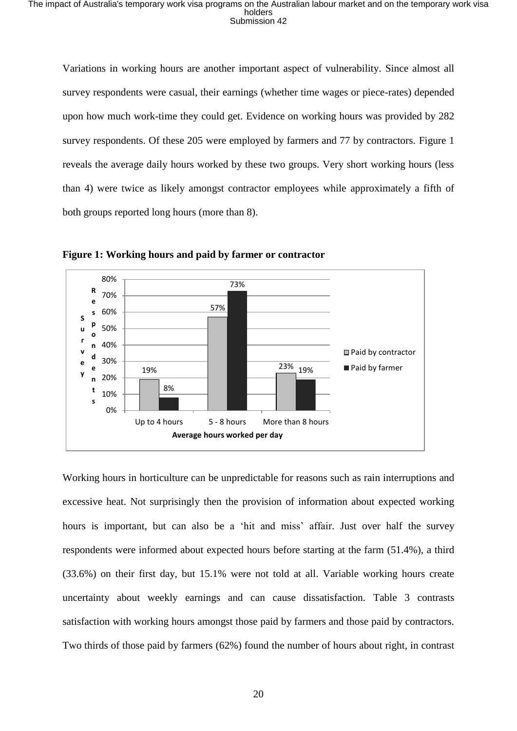Variations in working hours are another important aspect of vulnerability. Since almost all survey respondents were casual, their earnings (whether time wages or piece-rates) depended upon how much work-time they could get. Evidence on working hours was provided by 282 survey respondents. Of these 205 were employed by farmers and 77 by contractors. Figure 1 reveals the average daily hours worked by these two groups. Very short working hours (less than 4) were twice as likely amongst contractor employees while approximately a fifth of both groups reported long hours (more than 8).



**Figure 1: Working hours and paid by farmer or contractor**

Working hours in horticulture can be unpredictable for reasons such as rain interruptions and excessive heat. Not surprisingly then the provision of information about expected working hours is important, but can also be a 'hit and miss' affair. Just over half the survey respondents were informed about expected hours before starting at the farm (51.4%), a third (33.6%) on their first day, but 15.1% were not told at all. Variable working hours create uncertainty about weekly earnings and can cause dissatisfaction. Table 3 contrasts satisfaction with working hours amongst those paid by farmers and those paid by contractors. Two thirds of those paid by farmers (62%) found the number of hours about right, in contrast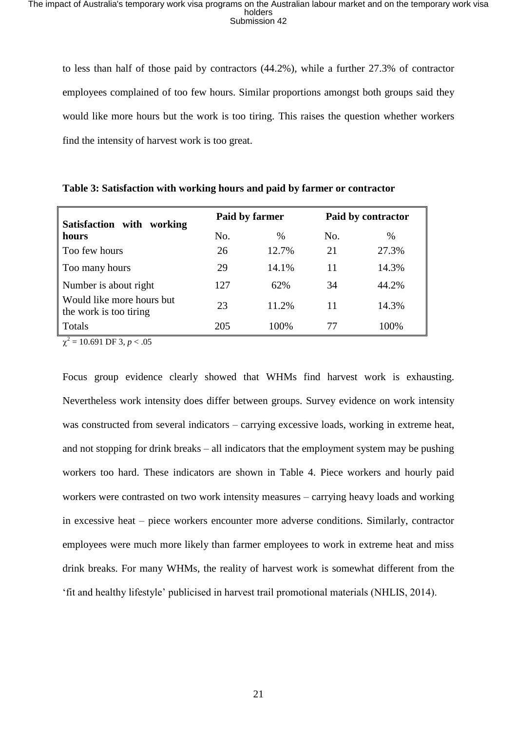to less than half of those paid by contractors (44.2%), while a further 27.3% of contractor employees complained of too few hours. Similar proportions amongst both groups said they would like more hours but the work is too tiring. This raises the question whether workers find the intensity of harvest work is too great.

| Satisfaction with<br>working                        | Paid by farmer |               | Paid by contractor |       |
|-----------------------------------------------------|----------------|---------------|--------------------|-------|
| hours                                               | No.            | $\frac{0}{0}$ | No.                | $\%$  |
| Too few hours                                       | 26             | 12.7%         | 21                 | 27.3% |
| Too many hours                                      | 29             | 14.1%         | 11                 | 14.3% |
| Number is about right                               | 127            | 62%           | 34                 | 44.2% |
| Would like more hours but<br>the work is too tiring | 23             | 11.2%         | 11                 | 14.3% |
| Totals                                              | 205            | 100\%         | 77                 | 100%  |

**Table 3: Satisfaction with working hours and paid by farmer or contractor**

 $\chi^2$  = 10.691 DF 3, *p* < .05

Focus group evidence clearly showed that WHMs find harvest work is exhausting. Nevertheless work intensity does differ between groups. Survey evidence on work intensity was constructed from several indicators – carrying excessive loads, working in extreme heat, and not stopping for drink breaks – all indicators that the employment system may be pushing workers too hard. These indicators are shown in Table 4. Piece workers and hourly paid workers were contrasted on two work intensity measures – carrying heavy loads and working in excessive heat – piece workers encounter more adverse conditions. Similarly, contractor employees were much more likely than farmer employees to work in extreme heat and miss drink breaks. For many WHMs, the reality of harvest work is somewhat different from the 'fit and healthy lifestyle' publicised in harvest trail promotional materials (NHLIS, 2014).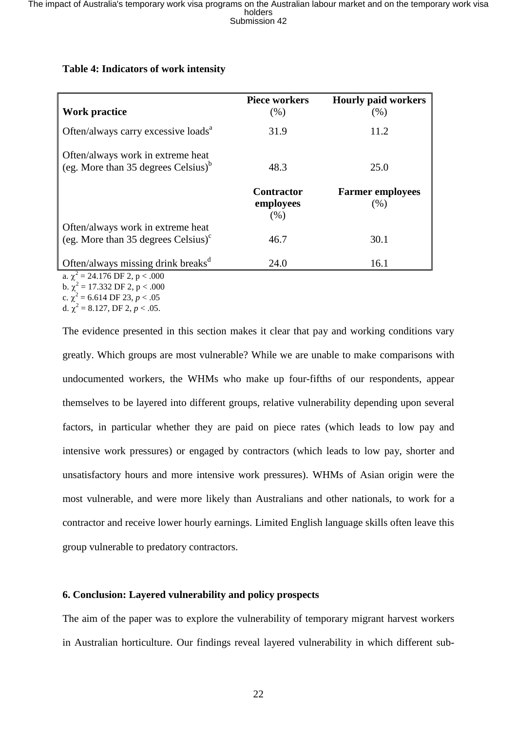| <b>Work practice</b>                                                               | <b>Piece workers</b><br>(% )           | <b>Hourly paid workers</b><br>(% ) |
|------------------------------------------------------------------------------------|----------------------------------------|------------------------------------|
| Often/always carry excessive loads <sup>a</sup>                                    | 31.9                                   | 11.2                               |
| Often/always work in extreme heat<br>(eg. More than 35 degrees Celsius) $b$        | 48.3                                   | 25.0                               |
|                                                                                    | <b>Contractor</b><br>employees<br>(% ) | <b>Farmer employees</b><br>(% )    |
| Often/always work in extreme heat<br>(eg. More than 35 degrees Celsius) $\text{c}$ | 46.7                                   | 30.1                               |
| Often/always missing drink breaks <sup>d</sup>                                     | 24.0                                   | 16.1                               |
| a. $\chi^2$ = 24.176 DF 2, p < .000<br>1. $\sqrt{2}$ 17.220 DEQ $\approx 0.00$     |                                        |                                    |

#### **Table 4: Indicators of work intensity**

b.  $\chi^2 = 17.332$  DF 2, p < .000 c.  $\chi^2$  = 6.614 DF 23, *p* < .05

d.  $\chi^2 = 8.127$ , DF 2,  $p < .05$ .

The evidence presented in this section makes it clear that pay and working conditions vary greatly. Which groups are most vulnerable? While we are unable to make comparisons with undocumented workers, the WHMs who make up four-fifths of our respondents, appear themselves to be layered into different groups, relative vulnerability depending upon several factors, in particular whether they are paid on piece rates (which leads to low pay and intensive work pressures) or engaged by contractors (which leads to low pay, shorter and unsatisfactory hours and more intensive work pressures). WHMs of Asian origin were the most vulnerable, and were more likely than Australians and other nationals, to work for a contractor and receive lower hourly earnings. Limited English language skills often leave this group vulnerable to predatory contractors.

### **6. Conclusion: Layered vulnerability and policy prospects**

The aim of the paper was to explore the vulnerability of temporary migrant harvest workers in Australian horticulture. Our findings reveal layered vulnerability in which different sub-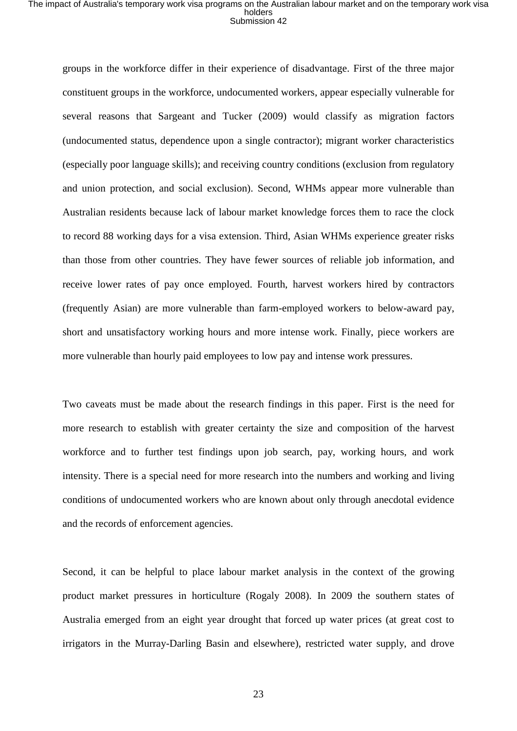groups in the workforce differ in their experience of disadvantage. First of the three major constituent groups in the workforce, undocumented workers, appear especially vulnerable for several reasons that Sargeant and Tucker (2009) would classify as migration factors (undocumented status, dependence upon a single contractor); migrant worker characteristics (especially poor language skills); and receiving country conditions (exclusion from regulatory and union protection, and social exclusion). Second, WHMs appear more vulnerable than Australian residents because lack of labour market knowledge forces them to race the clock to record 88 working days for a visa extension. Third, Asian WHMs experience greater risks than those from other countries. They have fewer sources of reliable job information, and receive lower rates of pay once employed. Fourth, harvest workers hired by contractors (frequently Asian) are more vulnerable than farm-employed workers to below-award pay, short and unsatisfactory working hours and more intense work. Finally, piece workers are more vulnerable than hourly paid employees to low pay and intense work pressures.

Two caveats must be made about the research findings in this paper. First is the need for more research to establish with greater certainty the size and composition of the harvest workforce and to further test findings upon job search, pay, working hours, and work intensity. There is a special need for more research into the numbers and working and living conditions of undocumented workers who are known about only through anecdotal evidence and the records of enforcement agencies.

Second, it can be helpful to place labour market analysis in the context of the growing product market pressures in horticulture (Rogaly 2008). In 2009 the southern states of Australia emerged from an eight year drought that forced up water prices (at great cost to irrigators in the Murray-Darling Basin and elsewhere), restricted water supply, and drove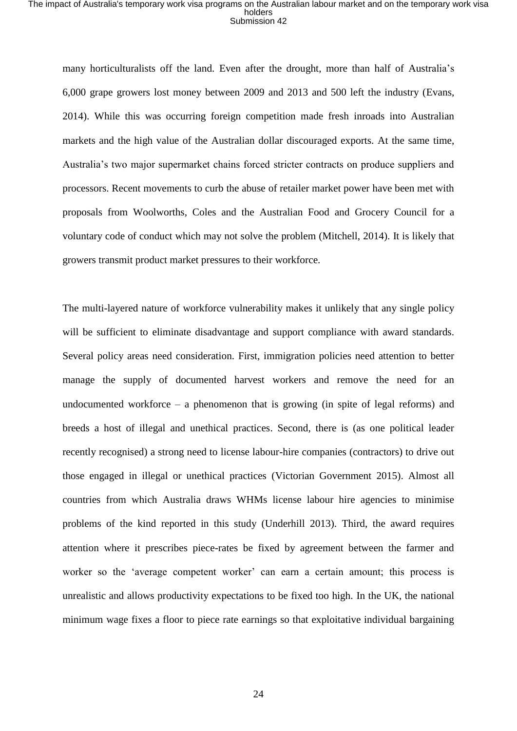many horticulturalists off the land. Even after the drought, more than half of Australia's 6,000 grape growers lost money between 2009 and 2013 and 500 left the industry (Evans, 2014). While this was occurring foreign competition made fresh inroads into Australian markets and the high value of the Australian dollar discouraged exports. At the same time, Australia's two major supermarket chains forced stricter contracts on produce suppliers and processors. Recent movements to curb the abuse of retailer market power have been met with proposals from Woolworths, Coles and the Australian Food and Grocery Council for a voluntary code of conduct which may not solve the problem (Mitchell, 2014). It is likely that growers transmit product market pressures to their workforce.

The multi-layered nature of workforce vulnerability makes it unlikely that any single policy will be sufficient to eliminate disadvantage and support compliance with award standards. Several policy areas need consideration. First, immigration policies need attention to better manage the supply of documented harvest workers and remove the need for an undocumented workforce – a phenomenon that is growing (in spite of legal reforms) and breeds a host of illegal and unethical practices. Second, there is (as one political leader recently recognised) a strong need to license labour-hire companies (contractors) to drive out those engaged in illegal or unethical practices (Victorian Government 2015). Almost all countries from which Australia draws WHMs license labour hire agencies to minimise problems of the kind reported in this study (Underhill 2013). Third, the award requires attention where it prescribes piece-rates be fixed by agreement between the farmer and worker so the 'average competent worker' can earn a certain amount; this process is unrealistic and allows productivity expectations to be fixed too high. In the UK, the national minimum wage fixes a floor to piece rate earnings so that exploitative individual bargaining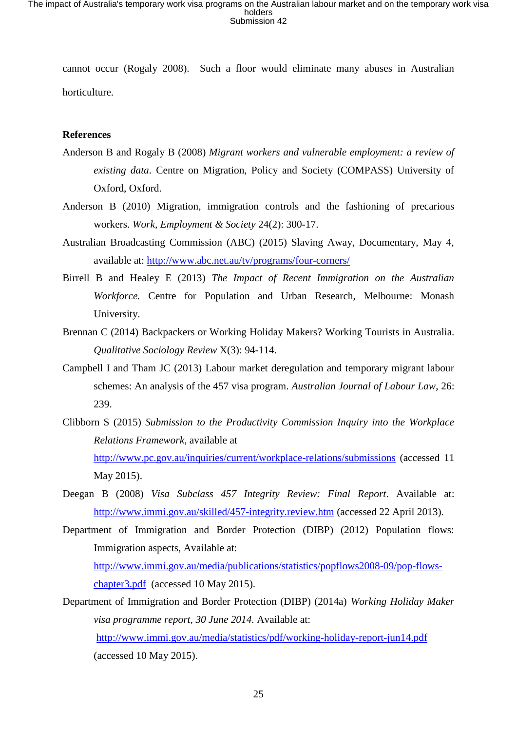cannot occur (Rogaly 2008). Such a floor would eliminate many abuses in Australian horticulture.

#### **References**

- Anderson B and Rogaly B (2008) *Migrant workers and vulnerable employment: a review of existing data*. Centre on Migration, Policy and Society (COMPASS) University of Oxford, Oxford.
- Anderson B (2010) Migration, immigration controls and the fashioning of precarious workers. *Work, Employment & Society* 24(2): 300-17.
- Australian Broadcasting Commission (ABC) (2015) Slaving Away, Documentary, May 4, available at:<http://www.abc.net.au/tv/programs/four-corners/>
- Birrell B and Healey E (2013) *The Impact of Recent Immigration on the Australian Workforce.* Centre for Population and Urban Research, Melbourne: Monash University.
- Brennan C (2014) Backpackers or Working Holiday Makers? Working Tourists in Australia. *Qualitative Sociology Review* X(3): 94-114.
- Campbell I and Tham JC (2013) Labour market deregulation and temporary migrant labour schemes: An analysis of the 457 visa program. *Australian Journal of Labour Law*, 26: 239.
- Clibborn S (2015) *Submission to the Productivity Commission Inquiry into the Workplace Relations Framework*, available at <http://www.pc.gov.au/inquiries/current/workplace-relations/submissions> (accessed 11 May 2015).
- Deegan B (2008) *Visa Subclass 457 Integrity Review: Final Report*. Available at: <http://www.immi.gov.au/skilled/457-integrity.review.htm> (accessed 22 April 2013).
- Department of Immigration and Border Protection (DIBP) (2012) Population flows: Immigration aspects, Available at:

[http://www.immi.gov.au/media/publications/statistics/popflows2008-09/pop-flows](http://www.immi.gov.au/media/publications/statistics/popflows2008-09/pop-flows-chapter3.pdf)[chapter3.pdf](http://www.immi.gov.au/media/publications/statistics/popflows2008-09/pop-flows-chapter3.pdf) (accessed 10 May 2015).

Department of Immigration and Border Protection (DIBP) (2014a) *Working Holiday Maker visa programme report, 30 June 2014.* Available at: <http://www.immi.gov.au/media/statistics/pdf/working-holiday-report-jun14.pdf> (accessed 10 May 2015).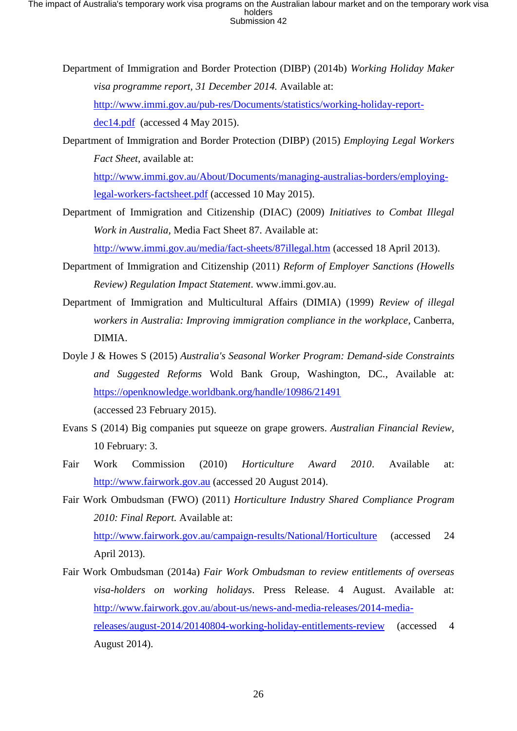- Department of Immigration and Border Protection (DIBP) (2014b) *Working Holiday Maker visa programme report, 31 December 2014.* Available at: [http://www.immi.gov.au/pub-res/Documents/statistics/working-holiday-report](http://www.immi.gov.au/pub-res/Documents/statistics/working-holiday-report-dec14.pdf)[dec14.pdf](http://www.immi.gov.au/pub-res/Documents/statistics/working-holiday-report-dec14.pdf) (accessed 4 May 2015).
- Department of Immigration and Border Protection (DIBP) (2015) *Employing Legal Workers Fact Sheet*, available at: [http://www.immi.gov.au/About/Documents/managing-australias-borders/employing-](http://www.immi.gov.au/About/Documents/managing-australias-borders/employing-legal-workers-factsheet.pdf)

[legal-workers-factsheet.pdf](http://www.immi.gov.au/About/Documents/managing-australias-borders/employing-legal-workers-factsheet.pdf) (accessed 10 May 2015).

Department of Immigration and Citizenship (DIAC) (2009) *Initiatives to Combat Illegal Work in Australia,* Media Fact Sheet 87. Available at:

<http://www.immi.gov.au/media/fact-sheets/87illegal.htm> (accessed 18 April 2013).

- Department of Immigration and Citizenship (2011) *Reform of Employer Sanctions (Howells Review) Regulation Impact Statement*. www.immi.gov.au.
- Department of Immigration and Multicultural Affairs (DIMIA) (1999) *Review of illegal workers in Australia: Improving immigration compliance in the workplace*, Canberra, DIMIA.
- Doyle J & Howes S (2015) *Australia's Seasonal Worker Program: Demand-side Constraints and Suggested Reforms* Wold Bank Group, Washington, DC., Available at: <https://openknowledge.worldbank.org/handle/10986/21491> (accessed 23 February 2015).
- Evans S (2014) Big companies put squeeze on grape growers. *Australian Financial Review,* 10 February: 3.
- Fair Work Commission (2010) *Horticulture Award 2010*. Available at: [http://www.fairwork.gov.au](http://www.fairwork.gov.au/) (accessed 20 August 2014).
- Fair Work Ombudsman (FWO) (2011) *Horticulture Industry Shared Compliance Program 2010: Final Report.* Available at: <http://www.fairwork.gov.au/campaign-results/National/Horticulture> (accessed 24 April 2013).
- Fair Work Ombudsman (2014a) *Fair Work Ombudsman to review entitlements of overseas visa-holders on working holidays*. Press Release. 4 August. Available at: [http://www.fairwork.gov.au/about-us/news-and-media-releases/2014-media](http://www.fairwork.gov.au/about-us/news-and-media-releases/2014-media-releases/august-2014/20140804-working-holiday-entitlements-review)[releases/august-2014/20140804-working-holiday-entitlements-review](http://www.fairwork.gov.au/about-us/news-and-media-releases/2014-media-releases/august-2014/20140804-working-holiday-entitlements-review) (accessed 4 August 2014).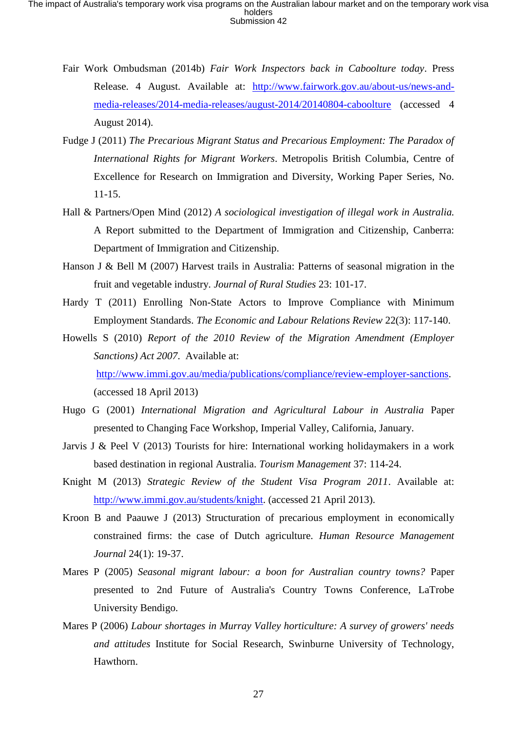- Fair Work Ombudsman (2014b) *Fair Work Inspectors back in Caboolture today*. Press Release. 4 August. Available at: [http://www.fairwork.gov.au/about-us/news-and](http://www.fairwork.gov.au/about-us/news-and-media-releases/2014-media-releases/august-2014/20140804-caboolture)[media-releases/2014-media-releases/august-2014/20140804-caboolture](http://www.fairwork.gov.au/about-us/news-and-media-releases/2014-media-releases/august-2014/20140804-caboolture) (accessed 4 August 2014).
- Fudge J (2011) *The Precarious Migrant Status and Precarious Employment: The Paradox of International Rights for Migrant Workers*. Metropolis British Columbia, Centre of Excellence for Research on Immigration and Diversity, Working Paper Series, No. 11-15.
- Hall & Partners/Open Mind (2012) *A sociological investigation of illegal work in Australia.* A Report submitted to the Department of Immigration and Citizenship, Canberra: Department of Immigration and Citizenship.
- Hanson J & Bell M (2007) Harvest trails in Australia: Patterns of seasonal migration in the fruit and vegetable industry. *Journal of Rural Studies* 23: 101-17.
- Hardy T (2011) Enrolling Non-State Actors to Improve Compliance with Minimum Employment Standards. *The Economic and Labour Relations Review* 22(3): 117-140.
- Howells S (2010) *Report of the 2010 Review of the Migration Amendment (Employer Sanctions) Act 2007*. Available at: [http://www.immi.gov.au/media/publications/compliance/review-employer-sanctions.](http://www.immi.gov.au/media/publications/compliance/review-employer-sanctions) (accessed 18 April 2013)
- Hugo G (2001) *International Migration and Agricultural Labour in Australia* Paper presented to Changing Face Workshop, Imperial Valley, California, January.
- Jarvis J & Peel V (2013) Tourists for hire: International working holidaymakers in a work based destination in regional Australia. *Tourism Management* 37: 114-24.
- Knight M (2013) *Strategic Review of the Student Visa Program 2011*. Available at: [http://www.immi.gov.au/students/knight.](http://www.immi.gov.au/students/knight) (accessed 21 April 2013).
- Kroon B and Paauwe J (2013) Structuration of precarious employment in economically constrained firms: the case of Dutch agriculture. *Human Resource Management Journal* 24(1): 19-37.
- Mares P (2005) *Seasonal migrant labour: a boon for Australian country towns?* Paper presented to 2nd Future of Australia's Country Towns Conference, LaTrobe University Bendigo.
- Mares P (2006) *Labour shortages in Murray Valley horticulture: A survey of growers' needs and attitudes* Institute for Social Research, Swinburne University of Technology, Hawthorn.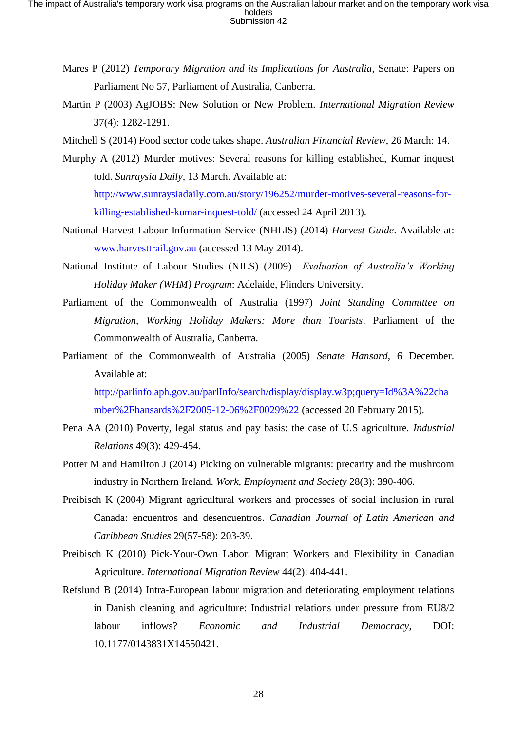- Mares P (2012) *Temporary Migration and its Implications for Australia*, Senate: Papers on Parliament No 57, Parliament of Australia, Canberra.
- Martin P (2003) AgJOBS: New Solution or New Problem. *International Migration Review*  37(4): 1282-1291.
- Mitchell S (2014) Food sector code takes shape. *Australian Financial Review*, 26 March: 14.
- Murphy A (2012) Murder motives: Several reasons for killing established, Kumar inquest told. *Sunraysia Daily,* 13 March. Available at: [http://www.sunraysiadaily.com.au/story/196252/murder-motives-several-reasons-for](http://www.sunraysiadaily.com.au/story/196252/murder-motives-several-reasons-for-killing-established-kumar-inquest-told/)[killing-established-kumar-inquest-told/](http://www.sunraysiadaily.com.au/story/196252/murder-motives-several-reasons-for-killing-established-kumar-inquest-told/) (accessed 24 April 2013).
- National Harvest Labour Information Service (NHLIS) (2014) *Harvest Guide*. Available at: [www.harvesttrail.gov.au](http://www.harvesttrail.gov.au/) (accessed 13 May 2014).
- National Institute of Labour Studies (NILS) (2009) *Evaluation of Australia's Working Holiday Maker (WHM) Program*: Adelaide, Flinders University.
- Parliament of the Commonwealth of Australia (1997) *Joint Standing Committee on Migration, Working Holiday Makers: More than Tourists*. Parliament of the Commonwealth of Australia, Canberra.
- Parliament of the Commonwealth of Australia (2005) *Senate Hansard*, 6 December. Available at:

[http://parlinfo.aph.gov.au/parlInfo/search/display/display.w3p;query=Id%3A%22cha](http://parlinfo.aph.gov.au/parlInfo/search/display/display.w3p;query=Id%3A%22chamber%2Fhansards%2F2005-12-06%2F0029%22) [mber%2Fhansards%2F2005-12-06%2F0029%22](http://parlinfo.aph.gov.au/parlInfo/search/display/display.w3p;query=Id%3A%22chamber%2Fhansards%2F2005-12-06%2F0029%22) (accessed 20 February 2015).

- Pena AA (2010) Poverty, legal status and pay basis: the case of U.S agriculture. *Industrial Relations* 49(3): 429-454.
- Potter M and Hamilton J (2014) Picking on vulnerable migrants: precarity and the mushroom industry in Northern Ireland. *Work, Employment and Society* 28(3): 390-406.
- Preibisch K (2004) Migrant agricultural workers and processes of social inclusion in rural Canada: encuentros and desencuentros. *Canadian Journal of Latin American and Caribbean Studies* 29(57-58): 203-39.
- Preibisch K (2010) Pick-Your-Own Labor: Migrant Workers and Flexibility in Canadian Agriculture. *International Migration Review* 44(2): 404-441.
- Refslund B (2014) Intra-European labour migration and deteriorating employment relations in Danish cleaning and agriculture: Industrial relations under pressure from EU8/2 labour inflows? *Economic and Industrial Democracy*, DOI: 10.1177/0143831X14550421.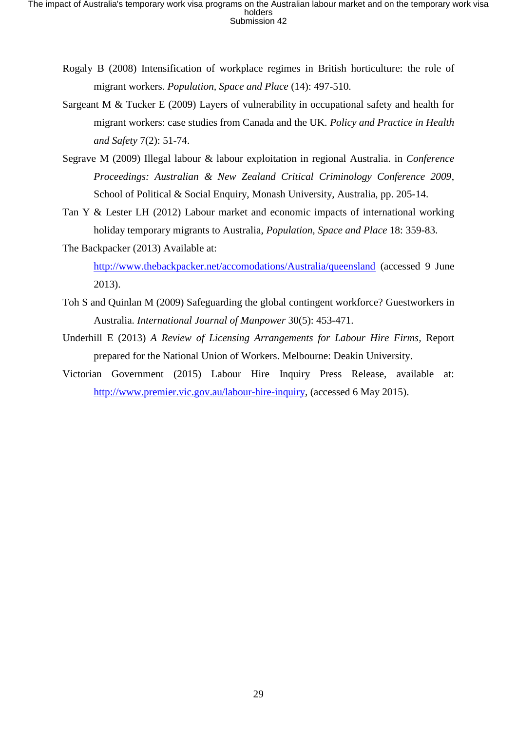- Rogaly B (2008) Intensification of workplace regimes in British horticulture: the role of migrant workers. *Population, Space and Place* (14): 497-510.
- Sargeant M & Tucker E (2009) Layers of vulnerability in occupational safety and health for migrant workers: case studies from Canada and the UK. *Policy and Practice in Health and Safety* 7(2): 51-74.
- Segrave M (2009) Illegal labour & labour exploitation in regional Australia. in *Conference Proceedings: Australian & New Zealand Critical Criminology Conference 2009*, School of Political & Social Enquiry, Monash University, Australia, pp. 205-14.
- Tan Y & Lester LH (2012) Labour market and economic impacts of international working holiday temporary migrants to Australia, *Population, Space and Place* 18: 359-83.
- The Backpacker (2013) Available at:

<http://www.thebackpacker.net/accomodations/Australia/queensland> (accessed 9 June 2013).

- Toh S and Quinlan M (2009) Safeguarding the global contingent workforce? Guestworkers in Australia. *International Journal of Manpower* 30(5): 453-471.
- Underhill E (2013) *A Review of Licensing Arrangements for Labour Hire Firms,* Report prepared for the National Union of Workers. Melbourne: Deakin University.
- Victorian Government (2015) Labour Hire Inquiry Press Release, available at: [http://www.premier.vic.gov.au/labour-hire-inquiry,](http://www.premier.vic.gov.au/labour-hire-inquiry) (accessed 6 May 2015).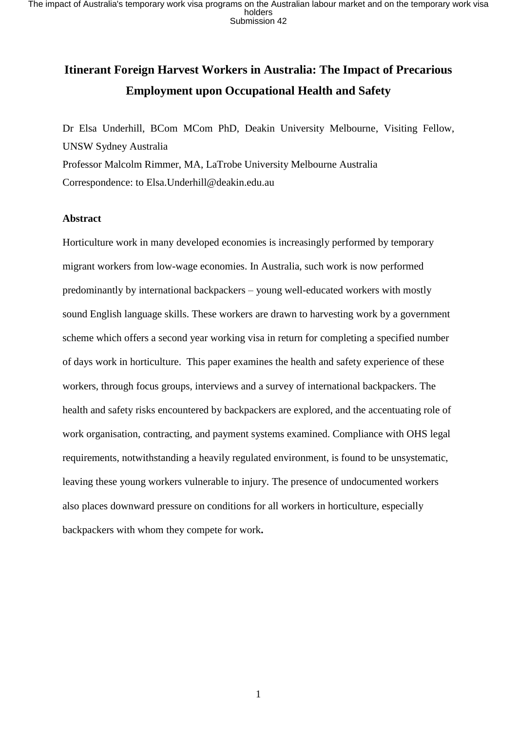### **Itinerant Foreign Harvest Workers in Australia: The Impact of Precarious Employment upon Occupational Health and Safety**

Dr Elsa Underhill, BCom MCom PhD, Deakin University Melbourne, Visiting Fellow, UNSW Sydney Australia Professor Malcolm Rimmer, MA, LaTrobe University Melbourne Australia Correspondence: to Elsa.Underhill@deakin.edu.au

#### **Abstract**

Horticulture work in many developed economies is increasingly performed by temporary migrant workers from low-wage economies. In Australia, such work is now performed predominantly by international backpackers – young well-educated workers with mostly sound English language skills. These workers are drawn to harvesting work by a government scheme which offers a second year working visa in return for completing a specified number of days work in horticulture. This paper examines the health and safety experience of these workers, through focus groups, interviews and a survey of international backpackers. The health and safety risks encountered by backpackers are explored, and the accentuating role of work organisation, contracting, and payment systems examined. Compliance with OHS legal requirements, notwithstanding a heavily regulated environment, is found to be unsystematic, leaving these young workers vulnerable to injury. The presence of undocumented workers also places downward pressure on conditions for all workers in horticulture, especially backpackers with whom they compete for work**.**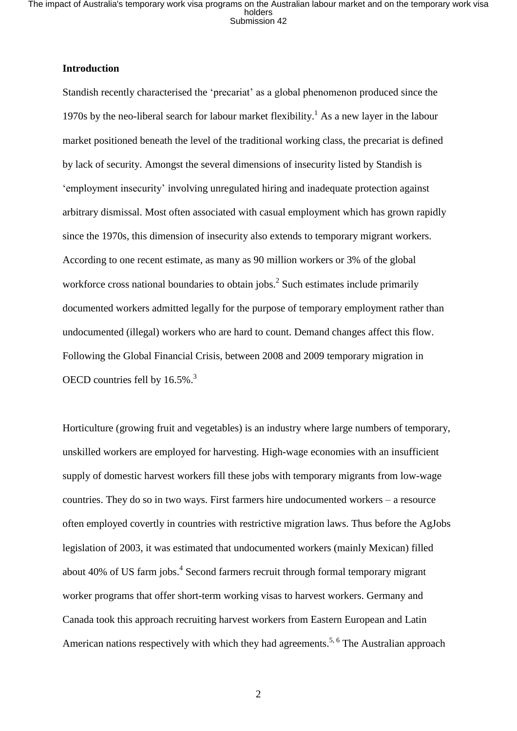#### **Introduction**

Standish recently characterised the 'precariat' as a global phenomenon produced since the 1970s by the neo-liberal search for labour market flexibility.<sup>1</sup> As a new layer in the labour market positioned beneath the level of the traditional working class, the precariat is defined by lack of security. Amongst the several dimensions of insecurity listed by Standish is 'employment insecurity' involving unregulated hiring and inadequate protection against arbitrary dismissal. Most often associated with casual employment which has grown rapidly since the 1970s, this dimension of insecurity also extends to temporary migrant workers. According to one recent estimate, as many as 90 million workers or 3% of the global workforce cross national boundaries to obtain jobs. $<sup>2</sup>$  Such estimates include primarily</sup> documented workers admitted legally for the purpose of temporary employment rather than undocumented (illegal) workers who are hard to count. Demand changes affect this flow. Following the Global Financial Crisis, between 2008 and 2009 temporary migration in OECD countries fell by 16.5%.<sup>3</sup>

Horticulture (growing fruit and vegetables) is an industry where large numbers of temporary, unskilled workers are employed for harvesting. High-wage economies with an insufficient supply of domestic harvest workers fill these jobs with temporary migrants from low-wage countries. They do so in two ways. First farmers hire undocumented workers – a resource often employed covertly in countries with restrictive migration laws. Thus before the AgJobs legislation of 2003, it was estimated that undocumented workers (mainly Mexican) filled about 40% of US farm jobs.<sup>4</sup> Second farmers recruit through formal temporary migrant worker programs that offer short-term working visas to harvest workers. Germany and Canada took this approach recruiting harvest workers from Eastern European and Latin American nations respectively with which they had agreements.<sup>5, 6</sup> The Australian approach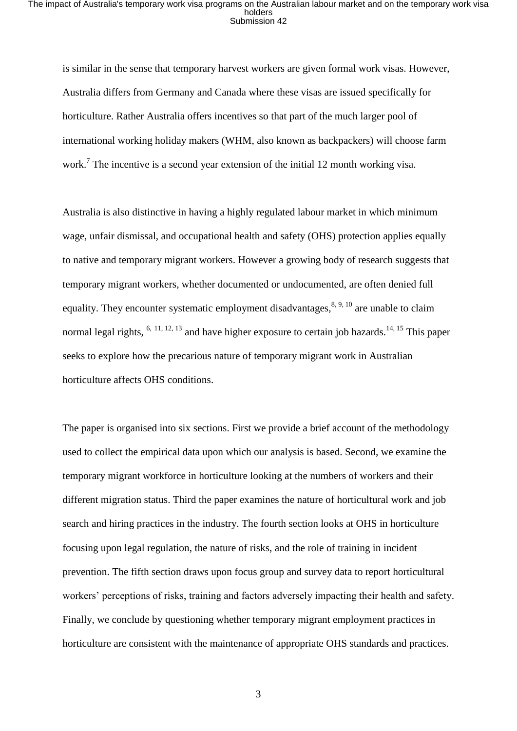is similar in the sense that temporary harvest workers are given formal work visas. However, Australia differs from Germany and Canada where these visas are issued specifically for horticulture. Rather Australia offers incentives so that part of the much larger pool of international working holiday makers (WHM, also known as backpackers) will choose farm work.<sup>7</sup> The incentive is a second year extension of the initial 12 month working visa.

Australia is also distinctive in having a highly regulated labour market in which minimum wage, unfair dismissal, and occupational health and safety (OHS) protection applies equally to native and temporary migrant workers. However a growing body of research suggests that temporary migrant workers, whether documented or undocumented, are often denied full equality. They encounter systematic employment disadvantages,<sup>8,9,10</sup> are unable to claim normal legal rights,  $6, 11, 12, 13$  and have higher exposure to certain job hazards.  $14, 15$  This paper seeks to explore how the precarious nature of temporary migrant work in Australian horticulture affects OHS conditions.

The paper is organised into six sections. First we provide a brief account of the methodology used to collect the empirical data upon which our analysis is based. Second, we examine the temporary migrant workforce in horticulture looking at the numbers of workers and their different migration status. Third the paper examines the nature of horticultural work and job search and hiring practices in the industry. The fourth section looks at OHS in horticulture focusing upon legal regulation, the nature of risks, and the role of training in incident prevention. The fifth section draws upon focus group and survey data to report horticultural workers' perceptions of risks, training and factors adversely impacting their health and safety. Finally, we conclude by questioning whether temporary migrant employment practices in horticulture are consistent with the maintenance of appropriate OHS standards and practices.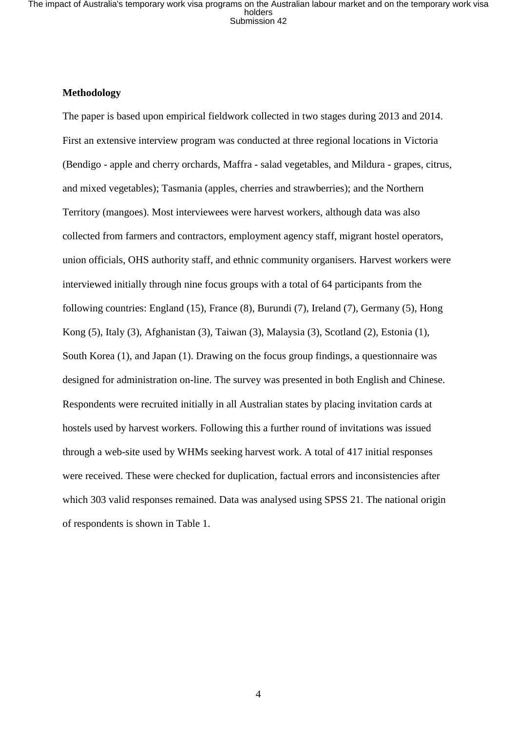#### **Methodology**

The paper is based upon empirical fieldwork collected in two stages during 2013 and 2014. First an extensive interview program was conducted at three regional locations in Victoria (Bendigo - apple and cherry orchards, Maffra - salad vegetables, and Mildura - grapes, citrus, and mixed vegetables); Tasmania (apples, cherries and strawberries); and the Northern Territory (mangoes). Most interviewees were harvest workers, although data was also collected from farmers and contractors, employment agency staff, migrant hostel operators, union officials, OHS authority staff, and ethnic community organisers. Harvest workers were interviewed initially through nine focus groups with a total of 64 participants from the following countries: England (15), France (8), Burundi (7), Ireland (7), Germany (5), Hong Kong (5), Italy (3), Afghanistan (3), Taiwan (3), Malaysia (3), Scotland (2), Estonia (1), South Korea (1), and Japan (1). Drawing on the focus group findings, a questionnaire was designed for administration on-line. The survey was presented in both English and Chinese. Respondents were recruited initially in all Australian states by placing invitation cards at hostels used by harvest workers. Following this a further round of invitations was issued through a web-site used by WHMs seeking harvest work. A total of 417 initial responses were received. These were checked for duplication, factual errors and inconsistencies after which 303 valid responses remained. Data was analysed using SPSS 21. The national origin of respondents is shown in Table 1.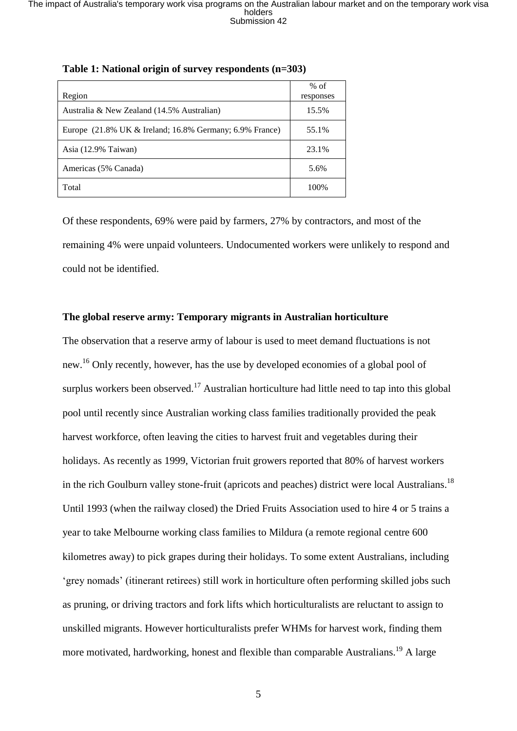| Region                                                                                        | $%$ of<br>responses |
|-----------------------------------------------------------------------------------------------|---------------------|
| Australia & New Zealand (14.5% Australian)                                                    | 15.5%               |
| Europe $(21.8\% \text{ UK} \& \text{ Ireland}; 16.8\% \text{ Germany}; 6.9\% \text{ France})$ | 55.1%               |
| Asia (12.9% Taiwan)                                                                           | 23.1%               |
| Americas (5% Canada)                                                                          | 5.6%                |
| Total                                                                                         | 100\%               |

**Table 1: National origin of survey respondents (n=303)**

Of these respondents, 69% were paid by farmers, 27% by contractors, and most of the remaining 4% were unpaid volunteers. Undocumented workers were unlikely to respond and could not be identified.

#### **The global reserve army: Temporary migrants in Australian horticulture**

The observation that a reserve army of labour is used to meet demand fluctuations is not new.<sup>16</sup> Only recently, however, has the use by developed economies of a global pool of surplus workers been observed.<sup>17</sup> Australian horticulture had little need to tap into this global pool until recently since Australian working class families traditionally provided the peak harvest workforce, often leaving the cities to harvest fruit and vegetables during their holidays. As recently as 1999, Victorian fruit growers reported that 80% of harvest workers in the rich Goulburn valley stone-fruit (apricots and peaches) district were local Australians.<sup>18</sup> Until 1993 (when the railway closed) the Dried Fruits Association used to hire 4 or 5 trains a year to take Melbourne working class families to Mildura (a remote regional centre 600 kilometres away) to pick grapes during their holidays. To some extent Australians, including 'grey nomads' (itinerant retirees) still work in horticulture often performing skilled jobs such as pruning, or driving tractors and fork lifts which horticulturalists are reluctant to assign to unskilled migrants. However horticulturalists prefer WHMs for harvest work, finding them more motivated, hardworking, honest and flexible than comparable Australians.<sup>19</sup> A large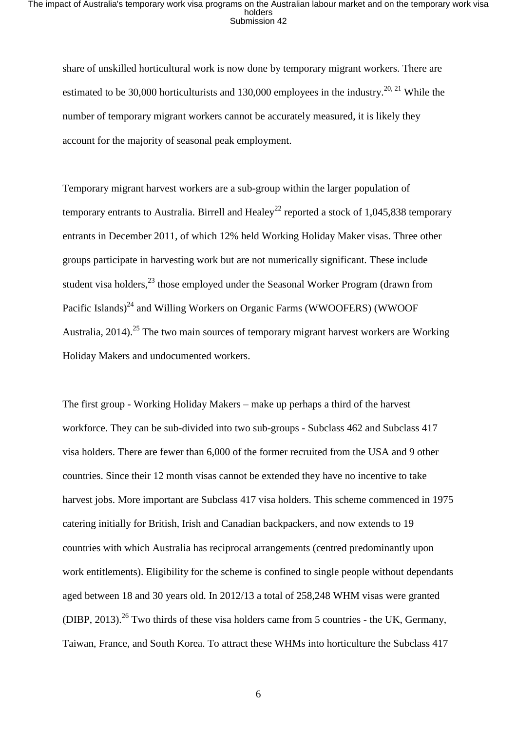share of unskilled horticultural work is now done by temporary migrant workers. There are estimated to be 30,000 horticulturists and 130,000 employees in the industry.<sup>20, 21</sup> While the number of temporary migrant workers cannot be accurately measured, it is likely they account for the majority of seasonal peak employment.

Temporary migrant harvest workers are a sub-group within the larger population of temporary entrants to Australia. Birrell and Healey<sup>22</sup> reported a stock of 1,045,838 temporary entrants in December 2011, of which 12% held Working Holiday Maker visas. Three other groups participate in harvesting work but are not numerically significant. These include student visa holders,<sup>23</sup> those employed under the Seasonal Worker Program (drawn from Pacific Islands)<sup>24</sup> and Willing Workers on Organic Farms (WWOOFERS) (WWOOF Australia,  $2014$ .<sup>25</sup> The two main sources of temporary migrant harvest workers are Working Holiday Makers and undocumented workers.

The first group - Working Holiday Makers – make up perhaps a third of the harvest workforce. They can be sub-divided into two sub-groups - Subclass 462 and Subclass 417 visa holders. There are fewer than 6,000 of the former recruited from the USA and 9 other countries. Since their 12 month visas cannot be extended they have no incentive to take harvest jobs. More important are Subclass 417 visa holders. This scheme commenced in 1975 catering initially for British, Irish and Canadian backpackers, and now extends to 19 countries with which Australia has reciprocal arrangements (centred predominantly upon work entitlements). Eligibility for the scheme is confined to single people without dependants aged between 18 and 30 years old. In 2012/13 a total of 258,248 WHM visas were granted (DIBP, 2013).<sup>26</sup> Two thirds of these visa holders came from 5 countries - the UK, Germany, Taiwan, France, and South Korea. To attract these WHMs into horticulture the Subclass 417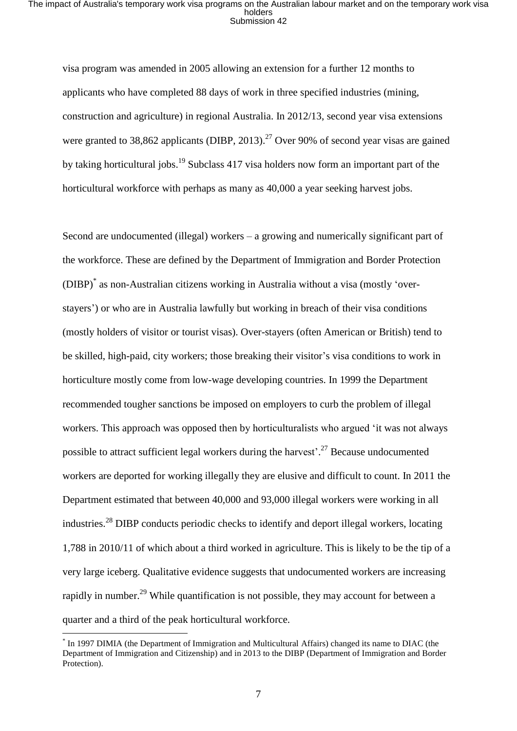visa program was amended in 2005 allowing an extension for a further 12 months to applicants who have completed 88 days of work in three specified industries (mining, construction and agriculture) in regional Australia. In 2012/13, second year visa extensions were granted to 38,862 applicants (DIBP, 2013).<sup>27</sup> Over 90% of second year visas are gained by taking horticultural jobs.<sup>19</sup> Subclass 417 visa holders now form an important part of the horticultural workforce with perhaps as many as 40,000 a year seeking harvest jobs.

Second are undocumented (illegal) workers – a growing and numerically significant part of the workforce. These are defined by the Department of Immigration and Border Protection (DIBP)\* as non-Australian citizens working in Australia without a visa (mostly 'overstayers') or who are in Australia lawfully but working in breach of their visa conditions (mostly holders of visitor or tourist visas). Over-stayers (often American or British) tend to be skilled, high-paid, city workers; those breaking their visitor's visa conditions to work in horticulture mostly come from low-wage developing countries. In 1999 the Department recommended tougher sanctions be imposed on employers to curb the problem of illegal workers. This approach was opposed then by horticulturalists who argued 'it was not always possible to attract sufficient legal workers during the harvest'.<sup>27</sup> Because undocumented workers are deported for working illegally they are elusive and difficult to count. In 2011 the Department estimated that between 40,000 and 93,000 illegal workers were working in all industries.<sup>28</sup> DIBP conducts periodic checks to identify and deport illegal workers, locating 1,788 in 2010/11 of which about a third worked in agriculture. This is likely to be the tip of a very large iceberg. Qualitative evidence suggests that undocumented workers are increasing rapidly in number.<sup>29</sup> While quantification is not possible, they may account for between a quarter and a third of the peak horticultural workforce.

<u>.</u>

<sup>\*</sup> In 1997 DIMIA (the Department of Immigration and Multicultural Affairs) changed its name to DIAC (the Department of Immigration and Citizenship) and in 2013 to the DIBP (Department of Immigration and Border Protection).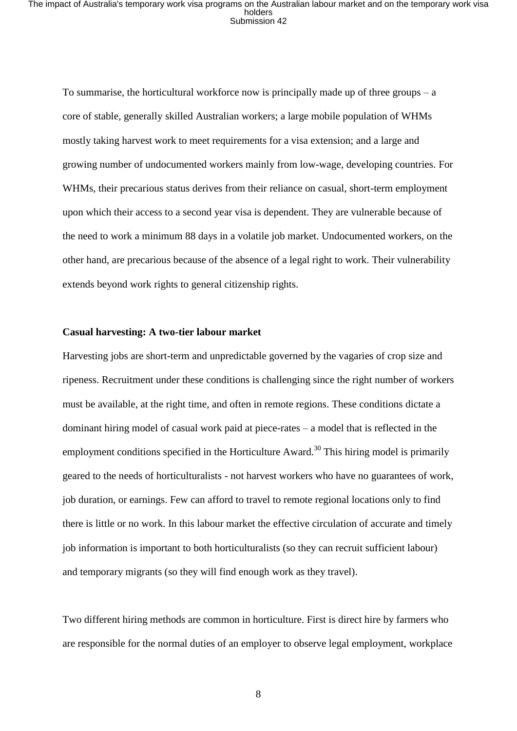To summarise, the horticultural workforce now is principally made up of three groups  $-a$ core of stable, generally skilled Australian workers; a large mobile population of WHMs mostly taking harvest work to meet requirements for a visa extension; and a large and growing number of undocumented workers mainly from low-wage, developing countries. For WHMs, their precarious status derives from their reliance on casual, short-term employment upon which their access to a second year visa is dependent. They are vulnerable because of the need to work a minimum 88 days in a volatile job market. Undocumented workers, on the other hand, are precarious because of the absence of a legal right to work. Their vulnerability extends beyond work rights to general citizenship rights.

#### **Casual harvesting: A two-tier labour market**

Harvesting jobs are short-term and unpredictable governed by the vagaries of crop size and ripeness. Recruitment under these conditions is challenging since the right number of workers must be available, at the right time, and often in remote regions. These conditions dictate a dominant hiring model of casual work paid at piece-rates – a model that is reflected in the employment conditions specified in the Horticulture Award.<sup>30</sup> This hiring model is primarily geared to the needs of horticulturalists - not harvest workers who have no guarantees of work, job duration, or earnings. Few can afford to travel to remote regional locations only to find there is little or no work. In this labour market the effective circulation of accurate and timely job information is important to both horticulturalists (so they can recruit sufficient labour) and temporary migrants (so they will find enough work as they travel).

Two different hiring methods are common in horticulture. First is direct hire by farmers who are responsible for the normal duties of an employer to observe legal employment, workplace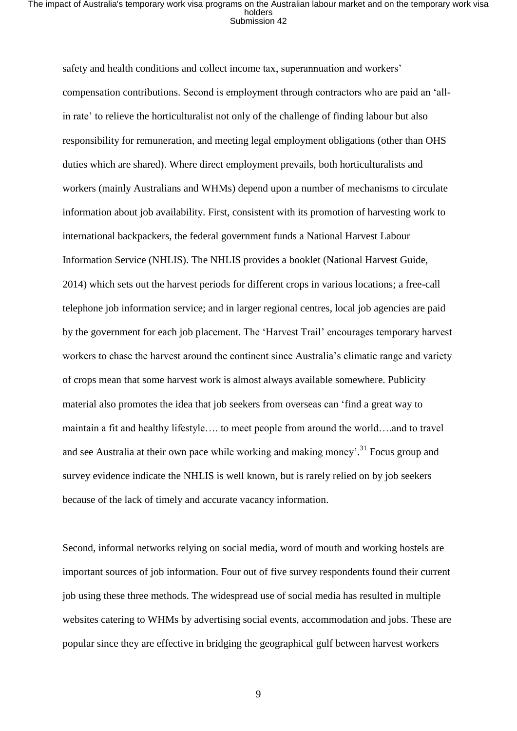safety and health conditions and collect income tax, superannuation and workers' compensation contributions. Second is employment through contractors who are paid an 'allin rate' to relieve the horticulturalist not only of the challenge of finding labour but also responsibility for remuneration, and meeting legal employment obligations (other than OHS duties which are shared). Where direct employment prevails, both horticulturalists and workers (mainly Australians and WHMs) depend upon a number of mechanisms to circulate information about job availability. First, consistent with its promotion of harvesting work to international backpackers, the federal government funds a National Harvest Labour Information Service (NHLIS). The NHLIS provides a booklet (National Harvest Guide, 2014) which sets out the harvest periods for different crops in various locations; a free-call telephone job information service; and in larger regional centres, local job agencies are paid by the government for each job placement. The 'Harvest Trail' encourages temporary harvest workers to chase the harvest around the continent since Australia's climatic range and variety of crops mean that some harvest work is almost always available somewhere. Publicity material also promotes the idea that job seekers from overseas can 'find a great way to maintain a fit and healthy lifestyle…. to meet people from around the world….and to travel and see Australia at their own pace while working and making money'.<sup>31</sup> Focus group and survey evidence indicate the NHLIS is well known, but is rarely relied on by job seekers because of the lack of timely and accurate vacancy information.

Second, informal networks relying on social media, word of mouth and working hostels are important sources of job information. Four out of five survey respondents found their current job using these three methods. The widespread use of social media has resulted in multiple websites catering to WHMs by advertising social events, accommodation and jobs. These are popular since they are effective in bridging the geographical gulf between harvest workers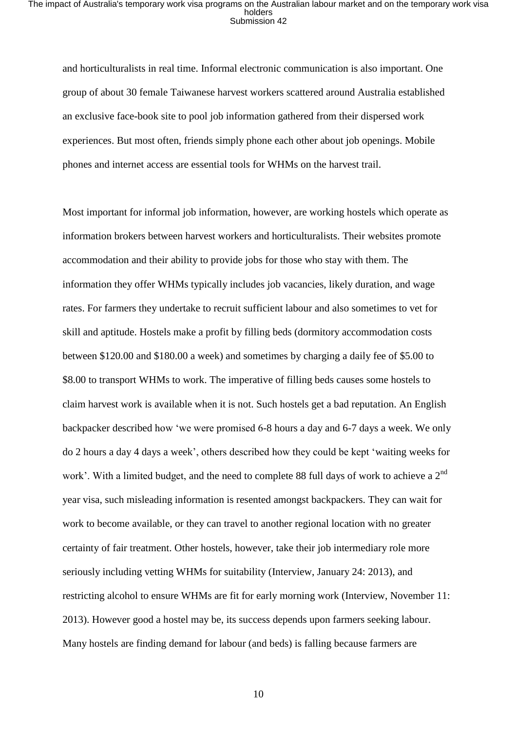and horticulturalists in real time. Informal electronic communication is also important. One group of about 30 female Taiwanese harvest workers scattered around Australia established an exclusive face-book site to pool job information gathered from their dispersed work experiences. But most often, friends simply phone each other about job openings. Mobile phones and internet access are essential tools for WHMs on the harvest trail.

Most important for informal job information, however, are working hostels which operate as information brokers between harvest workers and horticulturalists. Their websites promote accommodation and their ability to provide jobs for those who stay with them. The information they offer WHMs typically includes job vacancies, likely duration, and wage rates. For farmers they undertake to recruit sufficient labour and also sometimes to vet for skill and aptitude. Hostels make a profit by filling beds (dormitory accommodation costs between \$120.00 and \$180.00 a week) and sometimes by charging a daily fee of \$5.00 to \$8.00 to transport WHMs to work. The imperative of filling beds causes some hostels to claim harvest work is available when it is not. Such hostels get a bad reputation. An English backpacker described how 'we were promised 6-8 hours a day and 6-7 days a week. We only do 2 hours a day 4 days a week', others described how they could be kept 'waiting weeks for work'. With a limited budget, and the need to complete 88 full days of work to achieve a  $2<sup>nd</sup>$ year visa, such misleading information is resented amongst backpackers. They can wait for work to become available, or they can travel to another regional location with no greater certainty of fair treatment. Other hostels, however, take their job intermediary role more seriously including vetting WHMs for suitability (Interview, January 24: 2013), and restricting alcohol to ensure WHMs are fit for early morning work (Interview, November 11: 2013). However good a hostel may be, its success depends upon farmers seeking labour. Many hostels are finding demand for labour (and beds) is falling because farmers are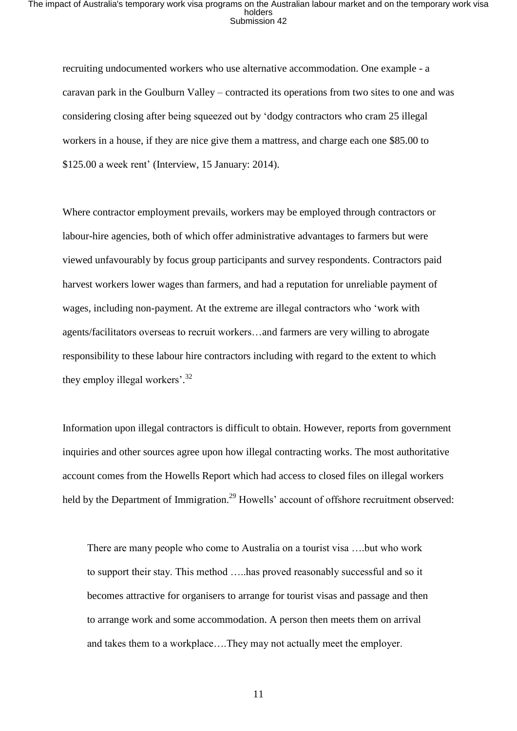recruiting undocumented workers who use alternative accommodation. One example - a caravan park in the Goulburn Valley – contracted its operations from two sites to one and was considering closing after being squeezed out by 'dodgy contractors who cram 25 illegal workers in a house, if they are nice give them a mattress, and charge each one \$85.00 to \$125.00 a week rent' (Interview, 15 January: 2014).

Where contractor employment prevails, workers may be employed through contractors or labour-hire agencies, both of which offer administrative advantages to farmers but were viewed unfavourably by focus group participants and survey respondents. Contractors paid harvest workers lower wages than farmers, and had a reputation for unreliable payment of wages, including non-payment. At the extreme are illegal contractors who 'work with agents/facilitators overseas to recruit workers…and farmers are very willing to abrogate responsibility to these labour hire contractors including with regard to the extent to which they employ illegal workers'.<sup>32</sup>

Information upon illegal contractors is difficult to obtain. However, reports from government inquiries and other sources agree upon how illegal contracting works. The most authoritative account comes from the Howells Report which had access to closed files on illegal workers held by the Department of Immigration.<sup>29</sup> Howells' account of offshore recruitment observed:

There are many people who come to Australia on a tourist visa ….but who work to support their stay. This method …..has proved reasonably successful and so it becomes attractive for organisers to arrange for tourist visas and passage and then to arrange work and some accommodation. A person then meets them on arrival and takes them to a workplace….They may not actually meet the employer.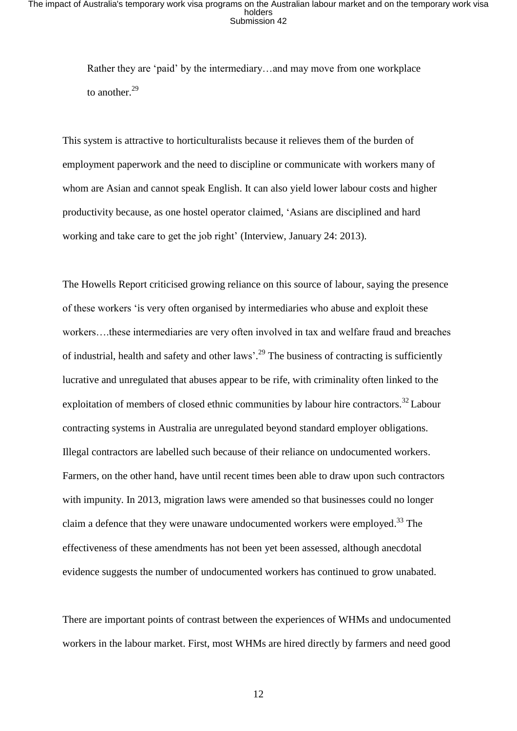Rather they are 'paid' by the intermediary…and may move from one workplace to another  $^{29}$ 

This system is attractive to horticulturalists because it relieves them of the burden of employment paperwork and the need to discipline or communicate with workers many of whom are Asian and cannot speak English. It can also yield lower labour costs and higher productivity because, as one hostel operator claimed, 'Asians are disciplined and hard working and take care to get the job right' (Interview, January 24: 2013).

The Howells Report criticised growing reliance on this source of labour, saying the presence of these workers 'is very often organised by intermediaries who abuse and exploit these workers….these intermediaries are very often involved in tax and welfare fraud and breaches of industrial, health and safety and other laws'.<sup>29</sup> The business of contracting is sufficiently lucrative and unregulated that abuses appear to be rife, with criminality often linked to the exploitation of members of closed ethnic communities by labour hire contractors.<sup>32</sup> Labour contracting systems in Australia are unregulated beyond standard employer obligations. Illegal contractors are labelled such because of their reliance on undocumented workers. Farmers, on the other hand, have until recent times been able to draw upon such contractors with impunity. In 2013, migration laws were amended so that businesses could no longer claim a defence that they were unaware undocumented workers were employed.<sup>33</sup> The effectiveness of these amendments has not been yet been assessed, although anecdotal evidence suggests the number of undocumented workers has continued to grow unabated.

There are important points of contrast between the experiences of WHMs and undocumented workers in the labour market. First, most WHMs are hired directly by farmers and need good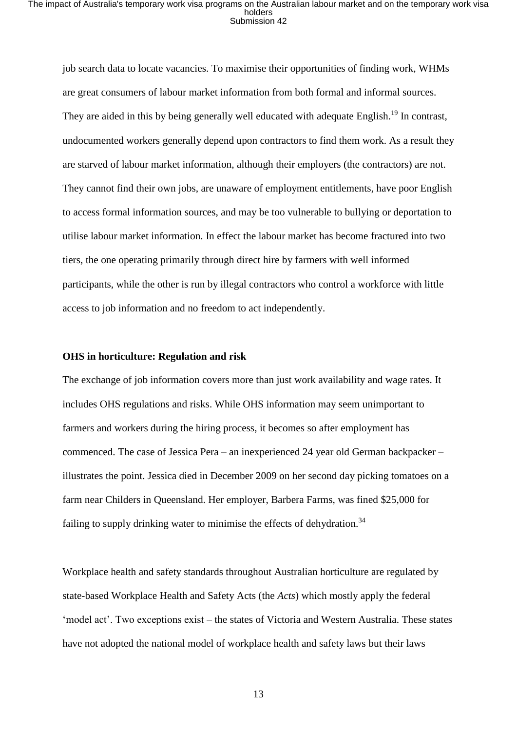job search data to locate vacancies. To maximise their opportunities of finding work, WHMs are great consumers of labour market information from both formal and informal sources. They are aided in this by being generally well educated with adequate English.<sup>19</sup> In contrast, undocumented workers generally depend upon contractors to find them work. As a result they are starved of labour market information, although their employers (the contractors) are not. They cannot find their own jobs, are unaware of employment entitlements, have poor English to access formal information sources, and may be too vulnerable to bullying or deportation to utilise labour market information. In effect the labour market has become fractured into two tiers, the one operating primarily through direct hire by farmers with well informed participants, while the other is run by illegal contractors who control a workforce with little access to job information and no freedom to act independently.

#### **OHS in horticulture: Regulation and risk**

The exchange of job information covers more than just work availability and wage rates. It includes OHS regulations and risks. While OHS information may seem unimportant to farmers and workers during the hiring process, it becomes so after employment has commenced. The case of Jessica Pera – an inexperienced 24 year old German backpacker – illustrates the point. Jessica died in December 2009 on her second day picking tomatoes on a farm near Childers in Queensland. Her employer, Barbera Farms, was fined \$25,000 for failing to supply drinking water to minimise the effects of dehydration.<sup>34</sup>

Workplace health and safety standards throughout Australian horticulture are regulated by state-based Workplace Health and Safety Acts (the *Acts*) which mostly apply the federal 'model act'. Two exceptions exist – the states of Victoria and Western Australia. These states have not adopted the national model of workplace health and safety laws but their laws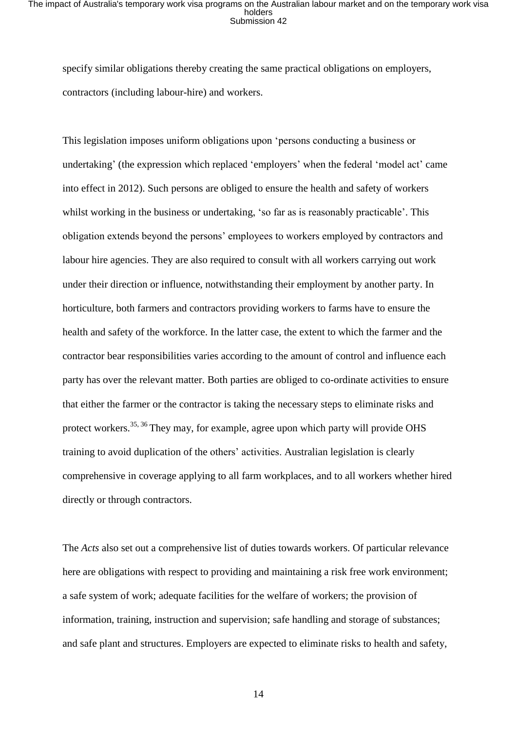specify similar obligations thereby creating the same practical obligations on employers, contractors (including labour-hire) and workers.

This legislation imposes uniform obligations upon 'persons conducting a business or undertaking' (the expression which replaced 'employers' when the federal 'model act' came into effect in 2012). Such persons are obliged to ensure the health and safety of workers whilst working in the business or undertaking, 'so far as is reasonably practicable'. This obligation extends beyond the persons' employees to workers employed by contractors and labour hire agencies. They are also required to consult with all workers carrying out work under their direction or influence, notwithstanding their employment by another party. In horticulture, both farmers and contractors providing workers to farms have to ensure the health and safety of the workforce. In the latter case, the extent to which the farmer and the contractor bear responsibilities varies according to the amount of control and influence each party has over the relevant matter. Both parties are obliged to co-ordinate activities to ensure that either the farmer or the contractor is taking the necessary steps to eliminate risks and protect workers.<sup>35, 36</sup> They may, for example, agree upon which party will provide OHS training to avoid duplication of the others' activities. Australian legislation is clearly comprehensive in coverage applying to all farm workplaces, and to all workers whether hired directly or through contractors.

The *Acts* also set out a comprehensive list of duties towards workers. Of particular relevance here are obligations with respect to providing and maintaining a risk free work environment; a safe system of work; adequate facilities for the welfare of workers; the provision of information, training, instruction and supervision; safe handling and storage of substances; and safe plant and structures. Employers are expected to eliminate risks to health and safety,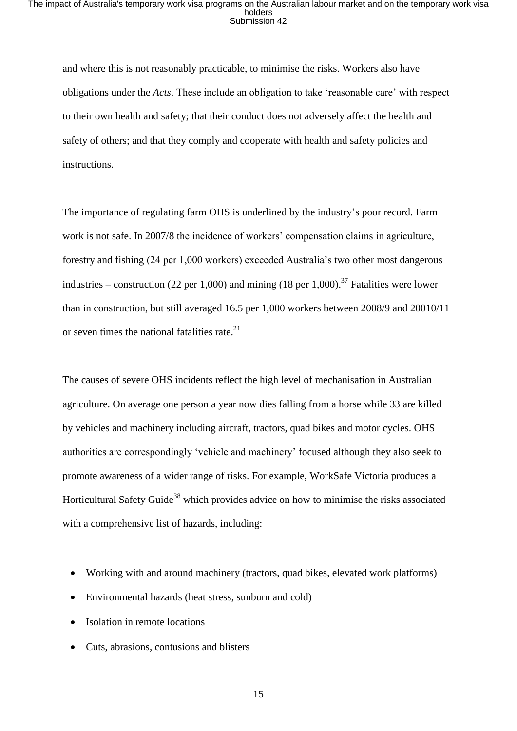and where this is not reasonably practicable, to minimise the risks. Workers also have obligations under the *Acts*. These include an obligation to take 'reasonable care' with respect to their own health and safety; that their conduct does not adversely affect the health and safety of others; and that they comply and cooperate with health and safety policies and instructions.

The importance of regulating farm OHS is underlined by the industry's poor record. Farm work is not safe. In 2007/8 the incidence of workers' compensation claims in agriculture, forestry and fishing (24 per 1,000 workers) exceeded Australia's two other most dangerous industries – construction (22 per 1,000) and mining (18 per 1,000).<sup>37</sup> Fatalities were lower than in construction, but still averaged 16.5 per 1,000 workers between 2008/9 and 20010/11 or seven times the national fatalities rate.<sup>21</sup>

The causes of severe OHS incidents reflect the high level of mechanisation in Australian agriculture. On average one person a year now dies falling from a horse while 33 are killed by vehicles and machinery including aircraft, tractors, quad bikes and motor cycles. OHS authorities are correspondingly 'vehicle and machinery' focused although they also seek to promote awareness of a wider range of risks. For example, WorkSafe Victoria produces a Horticultural Safety Guide<sup>38</sup> which provides advice on how to minimise the risks associated with a comprehensive list of hazards, including:

- Working with and around machinery (tractors, quad bikes, elevated work platforms)
- Environmental hazards (heat stress, sunburn and cold)
- Isolation in remote locations
- Cuts, abrasions, contusions and blisters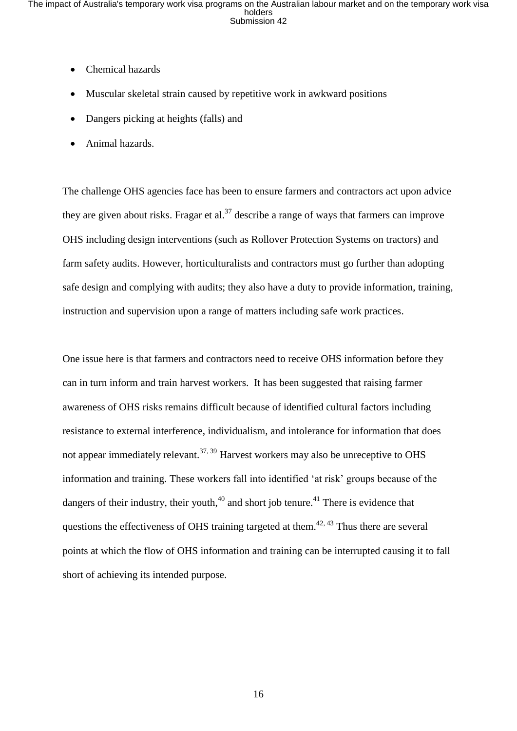- Chemical hazards
- Muscular skeletal strain caused by repetitive work in awkward positions
- Dangers picking at heights (falls) and
- Animal hazards.

The challenge OHS agencies face has been to ensure farmers and contractors act upon advice they are given about risks. Fragar et al.<sup>37</sup> describe a range of ways that farmers can improve OHS including design interventions (such as Rollover Protection Systems on tractors) and farm safety audits. However, horticulturalists and contractors must go further than adopting safe design and complying with audits; they also have a duty to provide information, training, instruction and supervision upon a range of matters including safe work practices.

One issue here is that farmers and contractors need to receive OHS information before they can in turn inform and train harvest workers. It has been suggested that raising farmer awareness of OHS risks remains difficult because of identified cultural factors including resistance to external interference, individualism, and intolerance for information that does not appear immediately relevant.<sup>37, 39</sup> Harvest workers may also be unreceptive to OHS information and training. These workers fall into identified 'at risk' groups because of the dangers of their industry, their youth,  $40$  and short job tenure.  $41$  There is evidence that questions the effectiveness of OHS training targeted at them.<sup>42, 43</sup> Thus there are several points at which the flow of OHS information and training can be interrupted causing it to fall short of achieving its intended purpose.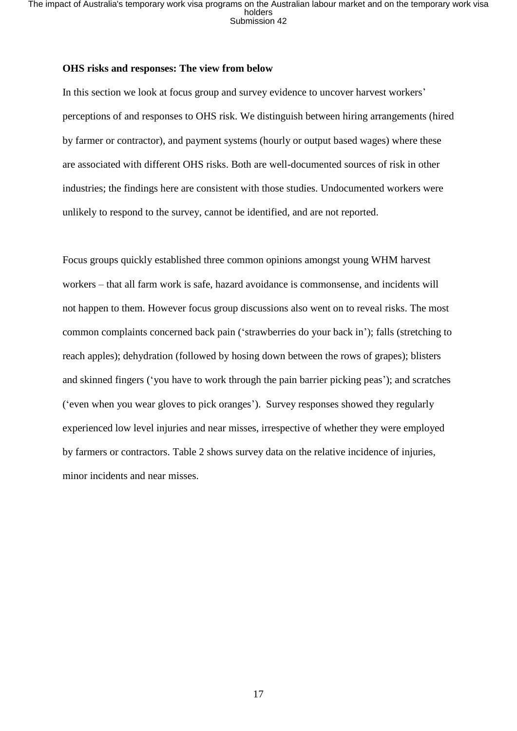#### **OHS risks and responses: The view from below**

In this section we look at focus group and survey evidence to uncover harvest workers' perceptions of and responses to OHS risk. We distinguish between hiring arrangements (hired by farmer or contractor), and payment systems (hourly or output based wages) where these are associated with different OHS risks. Both are well-documented sources of risk in other industries; the findings here are consistent with those studies. Undocumented workers were unlikely to respond to the survey, cannot be identified, and are not reported.

Focus groups quickly established three common opinions amongst young WHM harvest workers – that all farm work is safe, hazard avoidance is commonsense, and incidents will not happen to them. However focus group discussions also went on to reveal risks. The most common complaints concerned back pain ('strawberries do your back in'); falls (stretching to reach apples); dehydration (followed by hosing down between the rows of grapes); blisters and skinned fingers ('you have to work through the pain barrier picking peas'); and scratches ('even when you wear gloves to pick oranges'). Survey responses showed they regularly experienced low level injuries and near misses, irrespective of whether they were employed by farmers or contractors. Table 2 shows survey data on the relative incidence of injuries, minor incidents and near misses.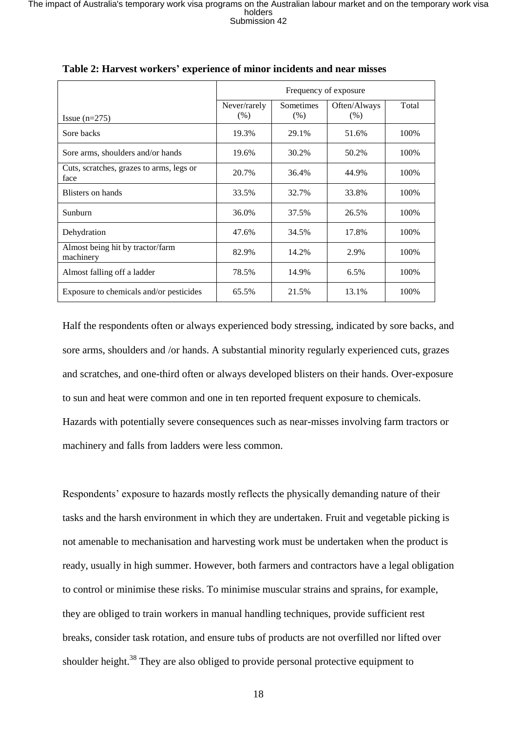|                                                  | Frequency of exposure |                          |                      |       |  |  |  |
|--------------------------------------------------|-----------------------|--------------------------|----------------------|-------|--|--|--|
| Issue $(n=275)$                                  | Never/rarely<br>(% )  | <b>Sometimes</b><br>(% ) | Often/Always<br>(% ) | Total |  |  |  |
| Sore backs                                       | 19.3%                 | 29.1%                    | 51.6%                | 100%  |  |  |  |
| Sore arms, shoulders and/or hands                | 19.6%                 | 30.2%                    | 50.2%                | 100%  |  |  |  |
| Cuts, scratches, grazes to arms, legs or<br>face | 20.7%                 | 36.4%                    | 44.9%                | 100%  |  |  |  |
| Blisters on hands                                | 33.5%                 | 32.7%                    | 33.8%                | 100%  |  |  |  |
| Sunburn                                          | 36.0%                 | 37.5%                    | 26.5%                | 100%  |  |  |  |
| Dehydration                                      | 47.6%                 | 34.5%                    | 17.8%                | 100%  |  |  |  |
| Almost being hit by tractor/farm<br>machinery    | 82.9%                 | 14.2%                    | 2.9%                 | 100%  |  |  |  |
| Almost falling off a ladder                      | 78.5%                 | 14.9%                    | 6.5%                 | 100%  |  |  |  |
| Exposure to chemicals and/or pesticides          | 65.5%                 | 21.5%                    | 13.1%                | 100%  |  |  |  |

**Table 2: Harvest workers' experience of minor incidents and near misses**

Half the respondents often or always experienced body stressing, indicated by sore backs, and sore arms, shoulders and /or hands. A substantial minority regularly experienced cuts, grazes and scratches, and one-third often or always developed blisters on their hands. Over-exposure to sun and heat were common and one in ten reported frequent exposure to chemicals. Hazards with potentially severe consequences such as near-misses involving farm tractors or machinery and falls from ladders were less common.

Respondents' exposure to hazards mostly reflects the physically demanding nature of their tasks and the harsh environment in which they are undertaken. Fruit and vegetable picking is not amenable to mechanisation and harvesting work must be undertaken when the product is ready, usually in high summer. However, both farmers and contractors have a legal obligation to control or minimise these risks. To minimise muscular strains and sprains, for example, they are obliged to train workers in manual handling techniques, provide sufficient rest breaks, consider task rotation, and ensure tubs of products are not overfilled nor lifted over shoulder height.<sup>38</sup> They are also obliged to provide personal protective equipment to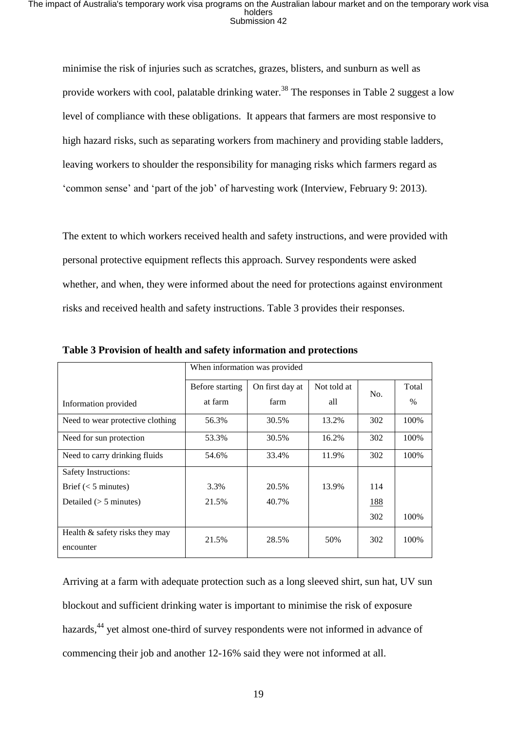minimise the risk of injuries such as scratches, grazes, blisters, and sunburn as well as provide workers with cool, palatable drinking water.<sup>38</sup> The responses in Table 2 suggest a low level of compliance with these obligations. It appears that farmers are most responsive to high hazard risks, such as separating workers from machinery and providing stable ladders, leaving workers to shoulder the responsibility for managing risks which farmers regard as 'common sense' and 'part of the job' of harvesting work (Interview, February 9: 2013).

The extent to which workers received health and safety instructions, and were provided with personal protective equipment reflects this approach. Survey respondents were asked whether, and when, they were informed about the need for protections against environment risks and received health and safety instructions. Table 3 provides their responses.

|                                                | When information was provided                            |       |       |     |       |  |
|------------------------------------------------|----------------------------------------------------------|-------|-------|-----|-------|--|
|                                                | Not told at<br>On first day at<br>Before starting<br>No. |       |       |     |       |  |
| Information provided                           | at farm                                                  | farm  | all   |     | $\%$  |  |
| Need to wear protective clothing               | 56.3%                                                    | 30.5% | 13.2% | 302 | 100%  |  |
| Need for sun protection                        | 53.3%                                                    | 30.5% | 16.2% | 302 | 100%  |  |
| Need to carry drinking fluids                  | 54.6%                                                    | 33.4% | 11.9% | 302 | 100%  |  |
| Safety Instructions:                           |                                                          |       |       |     |       |  |
| Brief $(< 5$ minutes)                          | 3.3%                                                     | 20.5% | 13.9% | 114 |       |  |
| Detailed $(> 5$ minutes)                       | 21.5%                                                    | 40.7% |       | 188 |       |  |
|                                                |                                                          |       |       | 302 | 100%  |  |
| Health $\&$ safety risks they may<br>encounter | 21.5%                                                    | 28.5% | 50%   | 302 | 100\% |  |

**Table 3 Provision of health and safety information and protections**

Arriving at a farm with adequate protection such as a long sleeved shirt, sun hat, UV sun blockout and sufficient drinking water is important to minimise the risk of exposure hazards,<sup>44</sup> yet almost one-third of survey respondents were not informed in advance of commencing their job and another 12-16% said they were not informed at all.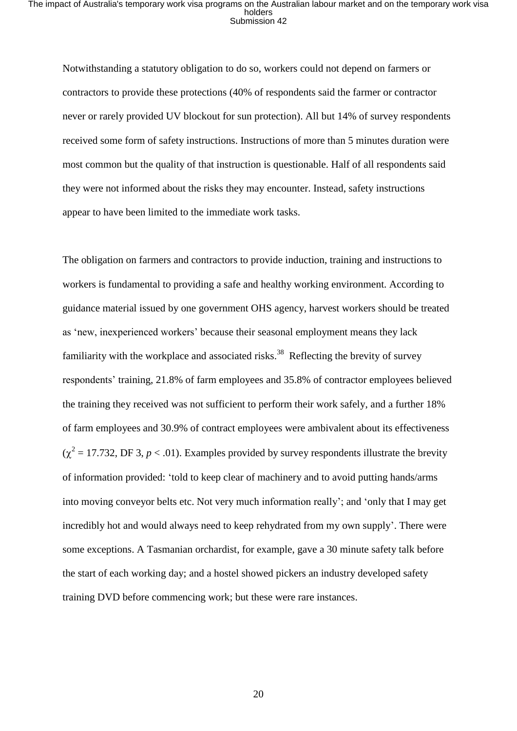Notwithstanding a statutory obligation to do so, workers could not depend on farmers or contractors to provide these protections (40% of respondents said the farmer or contractor never or rarely provided UV blockout for sun protection). All but 14% of survey respondents received some form of safety instructions. Instructions of more than 5 minutes duration were most common but the quality of that instruction is questionable. Half of all respondents said they were not informed about the risks they may encounter. Instead, safety instructions appear to have been limited to the immediate work tasks.

The obligation on farmers and contractors to provide induction, training and instructions to workers is fundamental to providing a safe and healthy working environment. According to guidance material issued by one government OHS agency, harvest workers should be treated as 'new, inexperienced workers' because their seasonal employment means they lack familiarity with the workplace and associated risks.<sup>38</sup> Reflecting the brevity of survey respondents' training, 21.8% of farm employees and 35.8% of contractor employees believed the training they received was not sufficient to perform their work safely, and a further 18% of farm employees and 30.9% of contract employees were ambivalent about its effectiveness  $(\chi^2 = 17.732, \text{DF } 3, p < .01)$ . Examples provided by survey respondents illustrate the brevity of information provided: 'told to keep clear of machinery and to avoid putting hands/arms into moving conveyor belts etc. Not very much information really'; and 'only that I may get incredibly hot and would always need to keep rehydrated from my own supply'. There were some exceptions. A Tasmanian orchardist, for example, gave a 30 minute safety talk before the start of each working day; and a hostel showed pickers an industry developed safety training DVD before commencing work; but these were rare instances.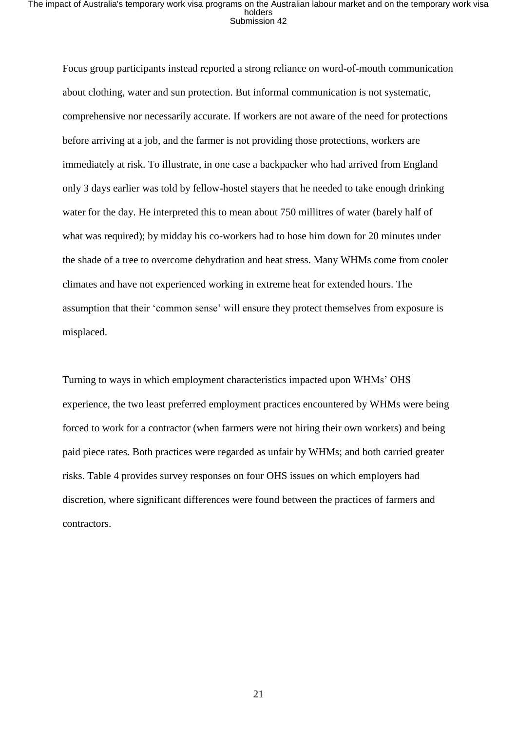Focus group participants instead reported a strong reliance on word-of-mouth communication about clothing, water and sun protection. But informal communication is not systematic, comprehensive nor necessarily accurate. If workers are not aware of the need for protections before arriving at a job, and the farmer is not providing those protections, workers are immediately at risk. To illustrate, in one case a backpacker who had arrived from England only 3 days earlier was told by fellow-hostel stayers that he needed to take enough drinking water for the day. He interpreted this to mean about 750 millitres of water (barely half of what was required); by midday his co-workers had to hose him down for 20 minutes under the shade of a tree to overcome dehydration and heat stress. Many WHMs come from cooler climates and have not experienced working in extreme heat for extended hours. The assumption that their 'common sense' will ensure they protect themselves from exposure is misplaced.

Turning to ways in which employment characteristics impacted upon WHMs' OHS experience, the two least preferred employment practices encountered by WHMs were being forced to work for a contractor (when farmers were not hiring their own workers) and being paid piece rates. Both practices were regarded as unfair by WHMs; and both carried greater risks. Table 4 provides survey responses on four OHS issues on which employers had discretion, where significant differences were found between the practices of farmers and contractors.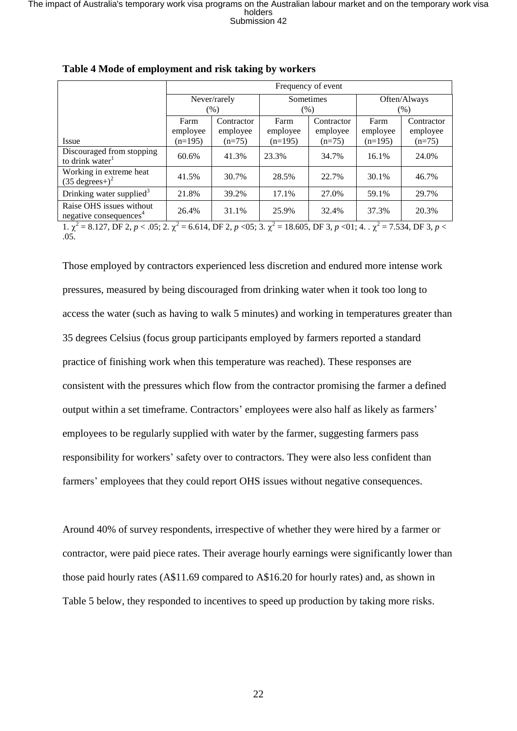|                                                                                                                                                                         | Frequency of event  |                        |                  |                        |                      |                        |  |
|-------------------------------------------------------------------------------------------------------------------------------------------------------------------------|---------------------|------------------------|------------------|------------------------|----------------------|------------------------|--|
|                                                                                                                                                                         | Never/rarely<br>(%) |                        | Sometimes        |                        | Often/Always<br>(% ) |                        |  |
|                                                                                                                                                                         | Farm                |                        | $(\% )$          |                        |                      |                        |  |
|                                                                                                                                                                         | employee            | Contractor<br>employee | Farm<br>employee | Contractor<br>employee | Farm<br>employee     | Contractor<br>employee |  |
| Issue                                                                                                                                                                   | $(n=195)$           | $(n=75)$               | $(n=195)$        | $(n=75)$               | $(n=195)$            | $(n=75)$               |  |
| Discouraged from stopping<br>to drink water <sup>1</sup>                                                                                                                | 60.6%               | 41.3%                  | 23.3%            | 34.7%                  | 16.1%                | 24.0%                  |  |
| Working in extreme heat<br>$(35 \text{ degrees}^2)^2$                                                                                                                   | 41.5%               | 30.7%                  | 28.5%            | 22.7%                  | 30.1%                | 46.7%                  |  |
| Drinking water supplied <sup>3</sup>                                                                                                                                    | 21.8%               | 39.2%                  | 17.1%            | 27.0%                  | 59.1%                | 29.7%                  |  |
| Raise OHS issues without<br>negative consequences <sup>4</sup>                                                                                                          | 26.4%               | 31.1%                  | 25.9%            | 32.4%                  | 37.3%                | 20.3%                  |  |
| $1 \gamma^2 = 8.127$ DE 2 $n \le 0.5 \cdot 2 \gamma^2 = 6.614$ DE 2 $n \le 0.5 \cdot 3 \gamma^2 = 18.605$ DE 3 $n \le 0.1 \cdot 4$<br>$\mu^2$ – 7.524 DE 3 n $\epsilon$ |                     |                        |                  |                        |                      |                        |  |

**Table 4 Mode of employment and risk taking by workers**

1.  $\chi^2 = 8.127$ , DF 2,  $p < .05$ ; 2.  $\chi^2 = 6.614$ , DF 2,  $p < .05$ ; 3.  $\chi^2 = 18.605$ , DF 3,  $p < .01$ ; 4. .  $\chi^2 = 7.534$ , DF 3,  $p < .01$ .05.

Those employed by contractors experienced less discretion and endured more intense work pressures, measured by being discouraged from drinking water when it took too long to access the water (such as having to walk 5 minutes) and working in temperatures greater than 35 degrees Celsius (focus group participants employed by farmers reported a standard practice of finishing work when this temperature was reached). These responses are consistent with the pressures which flow from the contractor promising the farmer a defined output within a set timeframe. Contractors' employees were also half as likely as farmers' employees to be regularly supplied with water by the farmer, suggesting farmers pass responsibility for workers' safety over to contractors. They were also less confident than farmers' employees that they could report OHS issues without negative consequences.

Around 40% of survey respondents, irrespective of whether they were hired by a farmer or contractor, were paid piece rates. Their average hourly earnings were significantly lower than those paid hourly rates (A\$11.69 compared to A\$16.20 for hourly rates) and, as shown in Table 5 below, they responded to incentives to speed up production by taking more risks.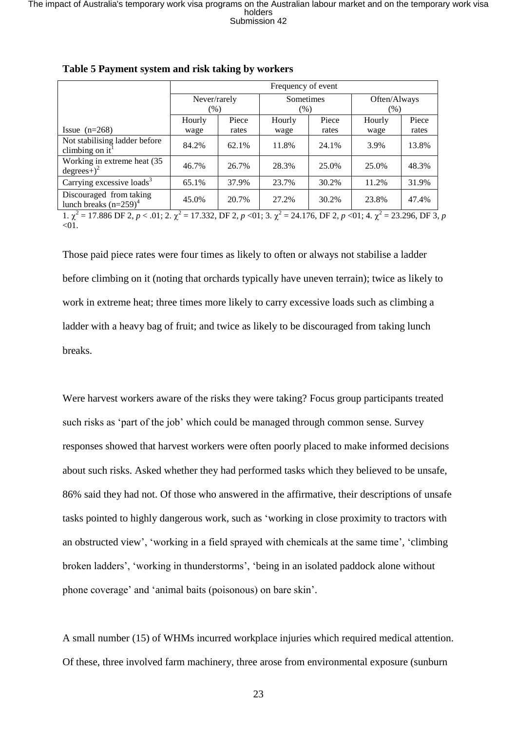|                                                                | Frequency of event |                     |           |                           |              |               |
|----------------------------------------------------------------|--------------------|---------------------|-----------|---------------------------|--------------|---------------|
|                                                                | Never/rarely       |                     | Sometimes |                           | Often/Always |               |
|                                                                | $(\%)$             |                     | $(\%)$    |                           | $(\%)$       |               |
|                                                                | Hourly             | Piece               | Hourly    | Piece                     | Hourly       | Piece         |
| Issue $(n=268)$                                                | wage               | rates               | wage      | rates                     | wage         | rates         |
| Not stabilising ladder before<br>climbing on $it1$             | 84.2%              | 62.1%               | 11.8%     | 24.1%                     | 3.9%         | 13.8%         |
| Working in extreme heat (35)<br>$\text{degrees+}$ <sup>2</sup> | 46.7%              | 26.7%               | 28.3%     | 25.0%                     | 25.0%        | 48.3%         |
| Carrying excessive loads <sup>3</sup>                          | 65.1%              | 37.9%               | 23.7%     | 30.2%                     | 11.2%        | 31.9%         |
| Discouraged from taking<br>lunch breaks $(n=259)^4$            | 45.0%              | 20.7%               | 27.2%     | 30.2%                     | 23.8%        | 47.4%         |
| $1, 2, 1700$ $\epsilon$ DP0 $\epsilon$ 01.0                    |                    | $17.222 \cdot 27.2$ |           | $24.176$ DPA $-01.4$ $-2$ |              | $22.205$ DE 2 |

**Table 5 Payment system and risk taking by workers**

1.  $\chi^2 = 17.886$  DF 2,  $p < .01$ ; 2.  $\chi^2 = 17.332$ , DF 2,  $p < 01$ ; 3.  $\chi^2 = 24.176$ , DF 2,  $p < 01$ ; 4.  $\chi^2 = 23.296$ , DF 3,  $p$  $< 01$ .

Those paid piece rates were four times as likely to often or always not stabilise a ladder before climbing on it (noting that orchards typically have uneven terrain); twice as likely to work in extreme heat; three times more likely to carry excessive loads such as climbing a ladder with a heavy bag of fruit; and twice as likely to be discouraged from taking lunch breaks.

Were harvest workers aware of the risks they were taking? Focus group participants treated such risks as 'part of the job' which could be managed through common sense. Survey responses showed that harvest workers were often poorly placed to make informed decisions about such risks. Asked whether they had performed tasks which they believed to be unsafe, 86% said they had not. Of those who answered in the affirmative, their descriptions of unsafe tasks pointed to highly dangerous work, such as 'working in close proximity to tractors with an obstructed view', 'working in a field sprayed with chemicals at the same time', 'climbing broken ladders', 'working in thunderstorms', 'being in an isolated paddock alone without phone coverage' and 'animal baits (poisonous) on bare skin'.

A small number (15) of WHMs incurred workplace injuries which required medical attention. Of these, three involved farm machinery, three arose from environmental exposure (sunburn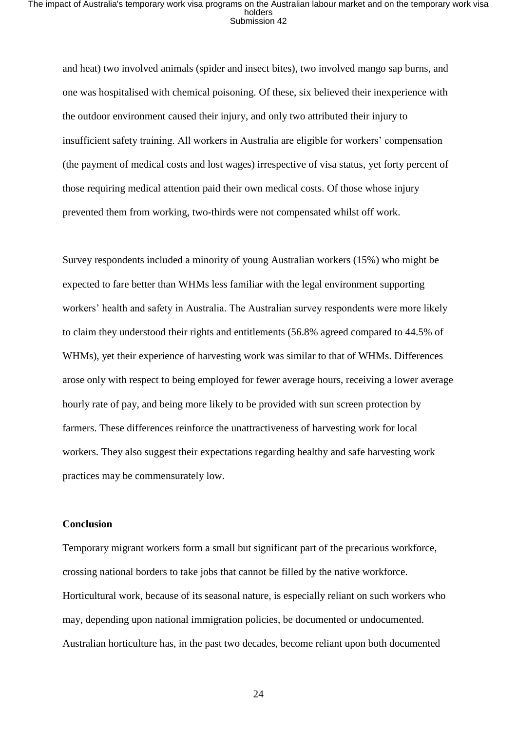and heat) two involved animals (spider and insect bites), two involved mango sap burns, and one was hospitalised with chemical poisoning. Of these, six believed their inexperience with the outdoor environment caused their injury, and only two attributed their injury to insufficient safety training. All workers in Australia are eligible for workers' compensation (the payment of medical costs and lost wages) irrespective of visa status, yet forty percent of those requiring medical attention paid their own medical costs. Of those whose injury prevented them from working, two-thirds were not compensated whilst off work.

Survey respondents included a minority of young Australian workers (15%) who might be expected to fare better than WHMs less familiar with the legal environment supporting workers' health and safety in Australia. The Australian survey respondents were more likely to claim they understood their rights and entitlements (56.8% agreed compared to 44.5% of WHMs), yet their experience of harvesting work was similar to that of WHMs. Differences arose only with respect to being employed for fewer average hours, receiving a lower average hourly rate of pay, and being more likely to be provided with sun screen protection by farmers. These differences reinforce the unattractiveness of harvesting work for local workers. They also suggest their expectations regarding healthy and safe harvesting work practices may be commensurately low.

#### **Conclusion**

Temporary migrant workers form a small but significant part of the precarious workforce, crossing national borders to take jobs that cannot be filled by the native workforce. Horticultural work, because of its seasonal nature, is especially reliant on such workers who may, depending upon national immigration policies, be documented or undocumented. Australian horticulture has, in the past two decades, become reliant upon both documented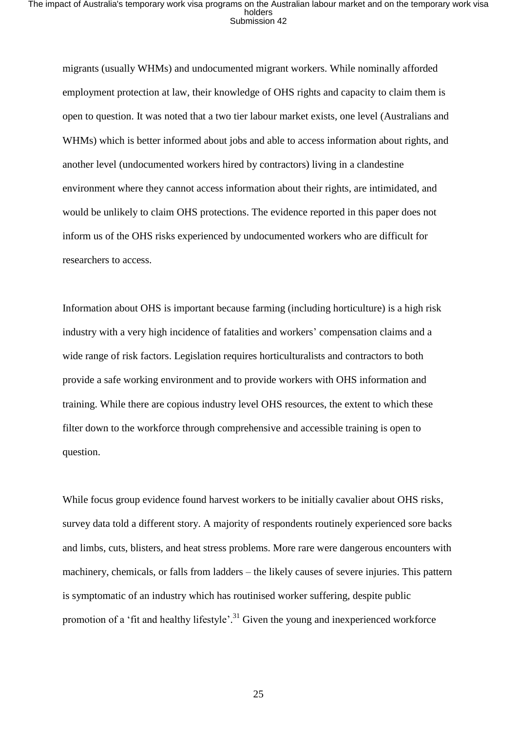migrants (usually WHMs) and undocumented migrant workers. While nominally afforded employment protection at law, their knowledge of OHS rights and capacity to claim them is open to question. It was noted that a two tier labour market exists, one level (Australians and WHMs) which is better informed about jobs and able to access information about rights, and another level (undocumented workers hired by contractors) living in a clandestine environment where they cannot access information about their rights, are intimidated, and would be unlikely to claim OHS protections. The evidence reported in this paper does not inform us of the OHS risks experienced by undocumented workers who are difficult for researchers to access.

Information about OHS is important because farming (including horticulture) is a high risk industry with a very high incidence of fatalities and workers' compensation claims and a wide range of risk factors. Legislation requires horticulturalists and contractors to both provide a safe working environment and to provide workers with OHS information and training. While there are copious industry level OHS resources, the extent to which these filter down to the workforce through comprehensive and accessible training is open to question.

While focus group evidence found harvest workers to be initially cavalier about OHS risks, survey data told a different story. A majority of respondents routinely experienced sore backs and limbs, cuts, blisters, and heat stress problems. More rare were dangerous encounters with machinery, chemicals, or falls from ladders – the likely causes of severe injuries. This pattern is symptomatic of an industry which has routinised worker suffering, despite public promotion of a 'fit and healthy lifestyle'.<sup>31</sup> Given the young and inexperienced workforce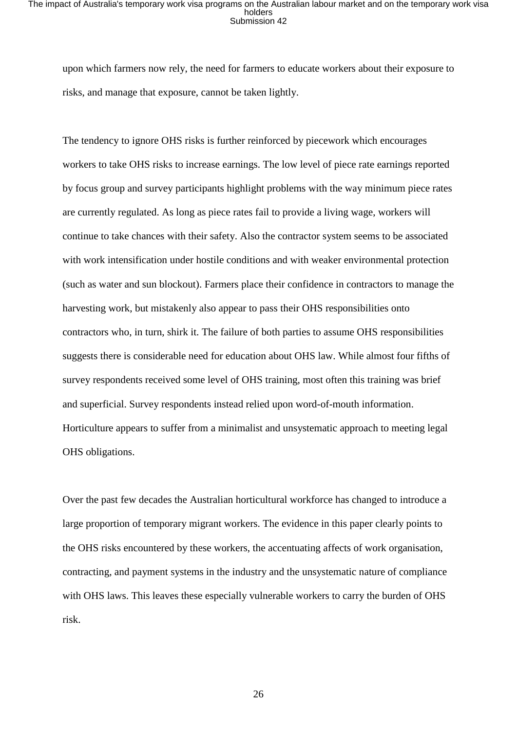upon which farmers now rely, the need for farmers to educate workers about their exposure to risks, and manage that exposure, cannot be taken lightly.

The tendency to ignore OHS risks is further reinforced by piecework which encourages workers to take OHS risks to increase earnings. The low level of piece rate earnings reported by focus group and survey participants highlight problems with the way minimum piece rates are currently regulated. As long as piece rates fail to provide a living wage, workers will continue to take chances with their safety. Also the contractor system seems to be associated with work intensification under hostile conditions and with weaker environmental protection (such as water and sun blockout). Farmers place their confidence in contractors to manage the harvesting work, but mistakenly also appear to pass their OHS responsibilities onto contractors who, in turn, shirk it. The failure of both parties to assume OHS responsibilities suggests there is considerable need for education about OHS law. While almost four fifths of survey respondents received some level of OHS training, most often this training was brief and superficial. Survey respondents instead relied upon word-of-mouth information. Horticulture appears to suffer from a minimalist and unsystematic approach to meeting legal OHS obligations.

Over the past few decades the Australian horticultural workforce has changed to introduce a large proportion of temporary migrant workers. The evidence in this paper clearly points to the OHS risks encountered by these workers, the accentuating affects of work organisation, contracting, and payment systems in the industry and the unsystematic nature of compliance with OHS laws. This leaves these especially vulnerable workers to carry the burden of OHS risk.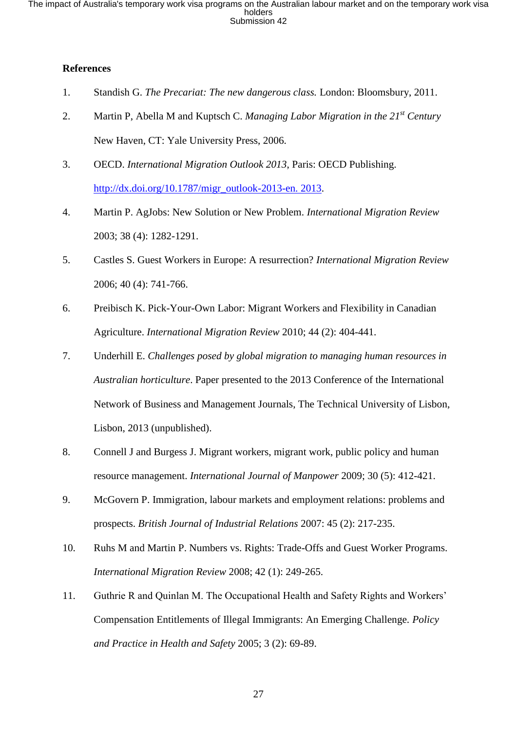### **References**

- 1. Standish G. *The Precariat: The new dangerous class.* London: Bloomsbury, 2011.
- 2. Martin P, Abella M and Kuptsch C. *Managing Labor Migration in the 21st Century* New Haven, CT: Yale University Press, 2006.
- 3. OECD. *International Migration Outlook 2013*, Paris: OECD Publishing. [http://dx.doi.org/10.1787/migr\\_outlook-2013-en. 2013.](http://dx.doi.org/10.1787/migr_outlook-2013-en.%202013)
- 4. Martin P. AgJobs: New Solution or New Problem. *International Migration Review* 2003; 38 (4): 1282-1291.
- 5. Castles S. Guest Workers in Europe: A resurrection? *International Migration Review*  2006; 40 (4): 741-766.
- 6. Preibisch K. Pick-Your-Own Labor: Migrant Workers and Flexibility in Canadian Agriculture. *International Migration Review* 2010; 44 (2): 404-441.
- 7. Underhill E. *Challenges posed by global migration to managing human resources in Australian horticulture*. Paper presented to the 2013 Conference of the International Network of Business and Management Journals, The Technical University of Lisbon, Lisbon, 2013 (unpublished).
- 8. Connell J and Burgess J. Migrant workers, migrant work, public policy and human resource management. *International Journal of Manpower* 2009; 30 (5): 412-421.
- 9. McGovern P. Immigration, labour markets and employment relations: problems and prospects. *British Journal of Industrial Relations* 2007: 45 (2): 217-235.
- 10. Ruhs M and Martin P. Numbers vs. Rights: Trade-Offs and Guest Worker Programs. *International Migration Review* 2008; 42 (1): 249-265.
- 11. Guthrie R and Quinlan M. The Occupational Health and Safety Rights and Workers' Compensation Entitlements of Illegal Immigrants: An Emerging Challenge. *Policy and Practice in Health and Safety* 2005; 3 (2): 69-89.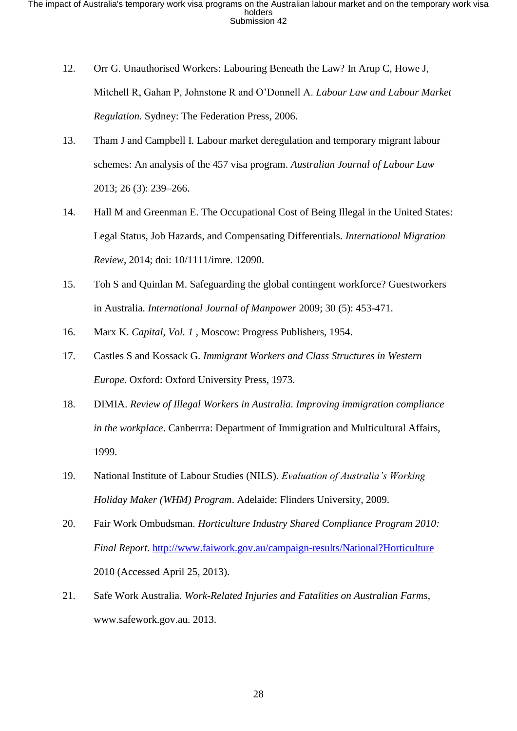- 12. Orr G. Unauthorised Workers: Labouring Beneath the Law? In Arup C, Howe J, Mitchell R, Gahan P, Johnstone R and O'Donnell A. *Labour Law and Labour Market Regulation.* Sydney: The Federation Press, 2006.
- 13. Tham J and Campbell I. Labour market deregulation and temporary migrant labour schemes: An analysis of the 457 visa program. *Australian Journal of Labour Law* 2013; 26 (3): 239–266.
- 14. Hall M and Greenman E. The Occupational Cost of Being Illegal in the United States: Legal Status, Job Hazards, and Compensating Differentials. *International Migration Review*, 2014; doi: 10/1111/imre. 12090.
- 15. Toh S and Quinlan M. Safeguarding the global contingent workforce? Guestworkers in Australia. *International Journal of Manpower* 2009; 30 (5): 453-471.
- 16. Marx K. *Capital*, *Vol. 1* , Moscow: Progress Publishers, 1954.
- 17. Castles S and Kossack G. *Immigrant Workers and Class Structures in Western Europe.* Oxford: Oxford University Press, 1973.
- 18. DIMIA. *Review of Illegal Workers in Australia. Improving immigration compliance in the workplace*. Canberrra: Department of Immigration and Multicultural Affairs, 1999.
- 19. National Institute of Labour Studies (NILS). *Evaluation of Australia's Working Holiday Maker (WHM) Program*. Adelaide: Flinders University, 2009.
- 20. Fair Work Ombudsman. *Horticulture Industry Shared Compliance Program 2010: Final Report.* <http://www.faiwork.gov.au/campaign-results/National?Horticulture> 2010 (Accessed April 25, 2013).
- 21. Safe Work Australia. *Work-Related Injuries and Fatalities on Australian Farms*, www.safework.gov.au. 2013.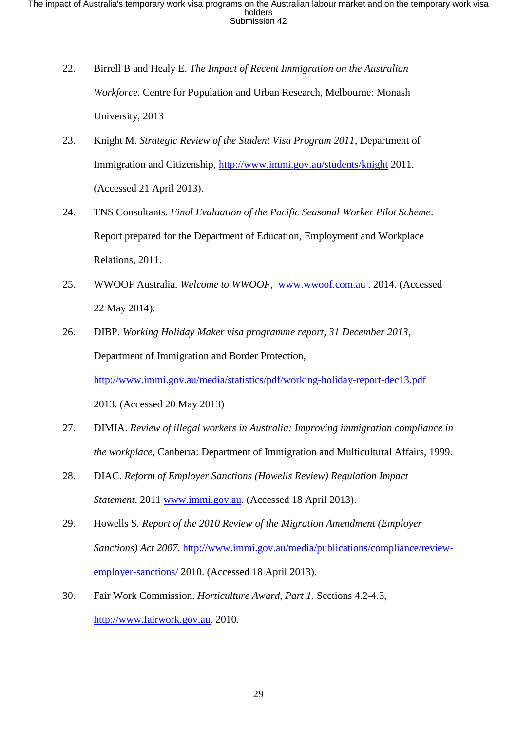- 22. Birrell B and Healy E. *The Impact of Recent Immigration on the Australian Workforce.* Centre for Population and Urban Research, Melbourne: Monash University, 2013
- 23. Knight M. *Strategic Review of the Student Visa Program 2011*, Department of Immigration and Citizenship,<http://www.immi.gov.au/students/knight> 2011. (Accessed 21 April 2013).
- 24. TNS Consultants. *Final Evaluation of the Pacific Seasonal Worker Pilot Scheme*. Report prepared for the Department of Education, Employment and Workplace Relations, 2011.
- 25. WWOOF Australia. *Welcome to WWOOF*, [www.wwoof.com.au](http://www.wwoof.com.au/) . 2014. (Accessed 22 May 2014).
- 26. DIBP. *Working Holiday Maker visa programme report, 31 December 2013*, Department of Immigration and Border Protection,

<http://www.immi.gov.au/media/statistics/pdf/working-holiday-report-dec13.pdf>

2013. (Accessed 20 May 2013)

- 27. DIMIA. *Review of illegal workers in Australia: Improving immigration compliance in the workplace*, Canberra: Department of Immigration and Multicultural Affairs, 1999.
- 28. DIAC. *Reform of Employer Sanctions (Howells Review) Regulation Impact Statement*. 2011 [www.immi.gov.au.](http://www.immi.gov.au/) (Accessed 18 April 2013).
- 29. Howells S*. Report of the 2010 Review of the Migration Amendment (Employer Sanctions) Act 2007*. [http://www.immi.gov.au/media/publications/compliance/review](http://www.immi.gov.au/media/publications/compliance/review-employer-sanctions/)[employer-sanctions/](http://www.immi.gov.au/media/publications/compliance/review-employer-sanctions/) 2010. (Accessed 18 April 2013).
- 30. Fair Work Commission. *Horticulture Award, Part 1*. Sections 4.2-4.3, [http://www.fairwork.gov.au.](http://www.fairwork.gov.au/) 2010.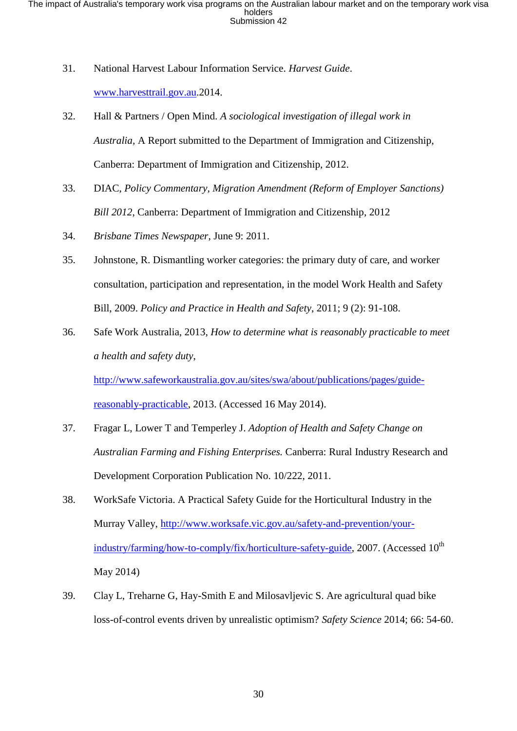- 31. National Harvest Labour Information Service. *Harvest Guide*. [www.harvesttrail.gov.au.](http://www.harvesttrail.gov.au/)2014.
- 32. Hall & Partners / Open Mind. *A sociological investigation of illegal work in Australia,* A Report submitted to the Department of Immigration and Citizenship, Canberra: Department of Immigration and Citizenship, 2012.
- 33. DIAC, *Policy Commentary, Migration Amendment (Reform of Employer Sanctions) Bill 2012*, Canberra: Department of Immigration and Citizenship, 2012
- 34. *Brisbane Times Newspaper*, June 9: 2011.
- 35. Johnstone, R. Dismantling worker categories: the primary duty of care, and worker consultation, participation and representation, in the model Work Health and Safety Bill, 2009. *Policy and Practice in Health and Safety*, 2011; 9 (2): 91-108.
- 36. Safe Work Australia, 2013, *How to determine what is reasonably practicable to meet a health and safety duty*,

[http://www.safeworkaustralia.gov.au/sites/swa/about/publications/pages/guide](http://www.safeworkaustralia.gov.au/sites/swa/about/publications/pages/guide-reasonably-practicable)[reasonably-practicable,](http://www.safeworkaustralia.gov.au/sites/swa/about/publications/pages/guide-reasonably-practicable) 2013. (Accessed 16 May 2014).

- 37. Fragar L, Lower T and Temperley J. *Adoption of Health and Safety Change on Australian Farming and Fishing Enterprises.* Canberra: Rural Industry Research and Development Corporation Publication No. 10/222, 2011.
- 38. WorkSafe Victoria. A Practical Safety Guide for the Horticultural Industry in the Murray Valley, [http://www.worksafe.vic.gov.au/safety-and-prevention/your](http://www.worksafe.vic.gov.au/safety-and-prevention/your-industry/farming/how-to-comply/fix/horticulture-safety-guide)[industry/farming/how-to-comply/fix/horticulture-safety-guide,](http://www.worksafe.vic.gov.au/safety-and-prevention/your-industry/farming/how-to-comply/fix/horticulture-safety-guide) 2007. (Accessed 10<sup>th</sup> May 2014)
- 39. Clay L, Treharne G, Hay-Smith E and Milosavljevic S. Are agricultural quad bike loss-of-control events driven by unrealistic optimism? *Safety Science* 2014; 66: 54-60.